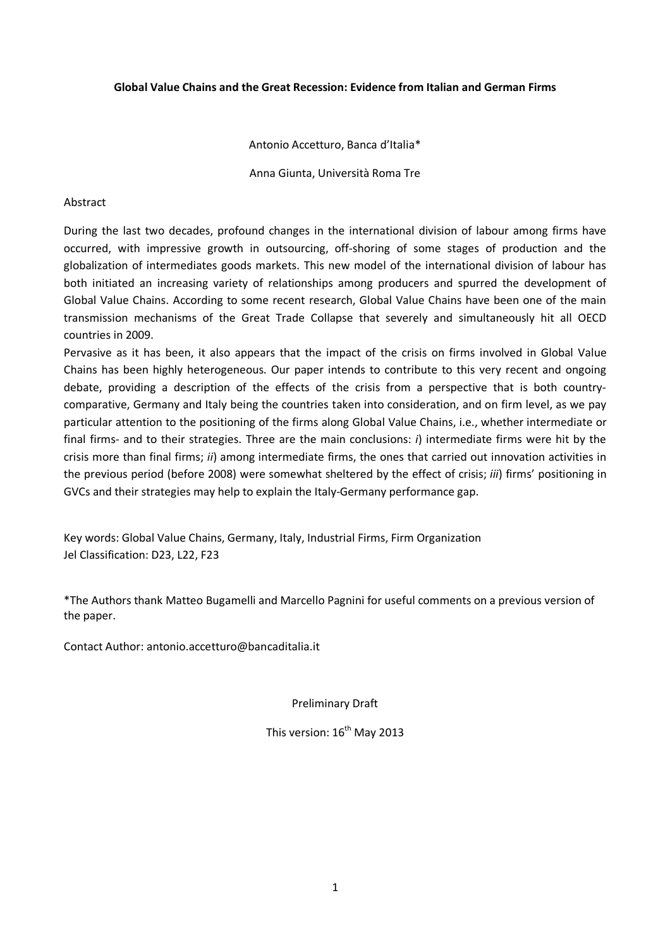# Global Value Chains and the Great Recession: Evidence from Italian and German Firms

## Antonio Accetturo, Banca d'Italia\*

Anna Giunta, Università Roma Tre

## Abstract

During the last two decades, profound changes in the international division of labour among firms have occurred, with impressive growth in outsourcing, off-shoring of some stages of production and the globalization of intermediates goods markets. This new model of the international division of labour has both initiated an increasing variety of relationships among producers and spurred the development of Global Value Chains. According to some recent research, Global Value Chains have been one of the main transmission mechanisms of the Great Trade Collapse that severely and simultaneously hit all OECD countries in 2009.

Pervasive as it has been, it also appears that the impact of the crisis on firms involved in Global Value Chains has been highly heterogeneous. Our paper intends to contribute to this very recent and ongoing debate, providing a description of the effects of the crisis from a perspective that is both countrycomparative, Germany and Italy being the countries taken into consideration, and on firm level, as we pay particular attention to the positioning of the firms along Global Value Chains, i.e., whether intermediate or final firms- and to their strategies. Three are the main conclusions: i) intermediate firms were hit by the crisis more than final firms; ii) among intermediate firms, the ones that carried out innovation activities in the previous period (before 2008) were somewhat sheltered by the effect of crisis; iii) firms' positioning in GVCs and their strategies may help to explain the Italy-Germany performance gap.

Key words: Global Value Chains, Germany, Italy, Industrial Firms, Firm Organization Jel Classification: D23, L22, F23

\*The Authors thank Matteo Bugamelli and Marcello Pagnini for useful comments on a previous version of the paper.

Contact Author: antonio.accetturo@bancaditalia.it

Preliminary Draft

This version:  $16^{th}$  May 2013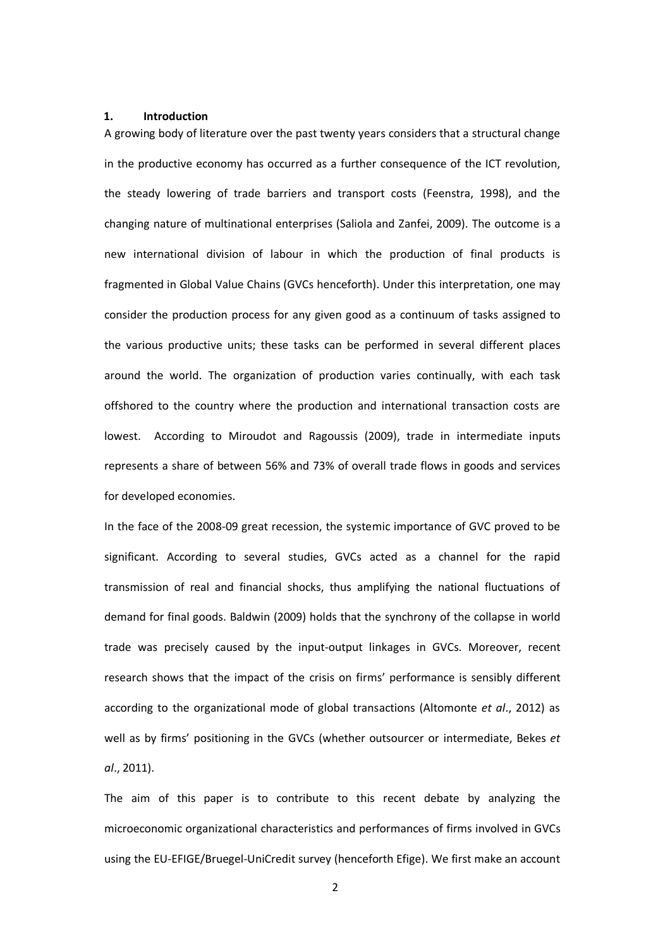### 1. Introduction

A growing body of literature over the past twenty years considers that a structural change in the productive economy has occurred as a further consequence of the ICT revolution, the steady lowering of trade barriers and transport costs (Feenstra, 1998), and the changing nature of multinational enterprises (Saliola and Zanfei, 2009). The outcome is a new international division of labour in which the production of final products is fragmented in Global Value Chains (GVCs henceforth). Under this interpretation, one may consider the production process for any given good as a continuum of tasks assigned to the various productive units; these tasks can be performed in several different places around the world. The organization of production varies continually, with each task offshored to the country where the production and international transaction costs are lowest. According to Miroudot and Ragoussis (2009), trade in intermediate inputs represents a share of between 56% and 73% of overall trade flows in goods and services for developed economies.

In the face of the 2008-09 great recession, the systemic importance of GVC proved to be significant. According to several studies, GVCs acted as a channel for the rapid transmission of real and financial shocks, thus amplifying the national fluctuations of demand for final goods. Baldwin (2009) holds that the synchrony of the collapse in world trade was precisely caused by the input-output linkages in GVCs. Moreover, recent research shows that the impact of the crisis on firms' performance is sensibly different according to the organizational mode of global transactions (Altomonte et al., 2012) as well as by firms' positioning in the GVCs (whether outsourcer or intermediate, Bekes et al., 2011).

The aim of this paper is to contribute to this recent debate by analyzing the microeconomic organizational characteristics and performances of firms involved in GVCs using the EU-EFIGE/Bruegel-UniCredit survey (henceforth Efige). We first make an account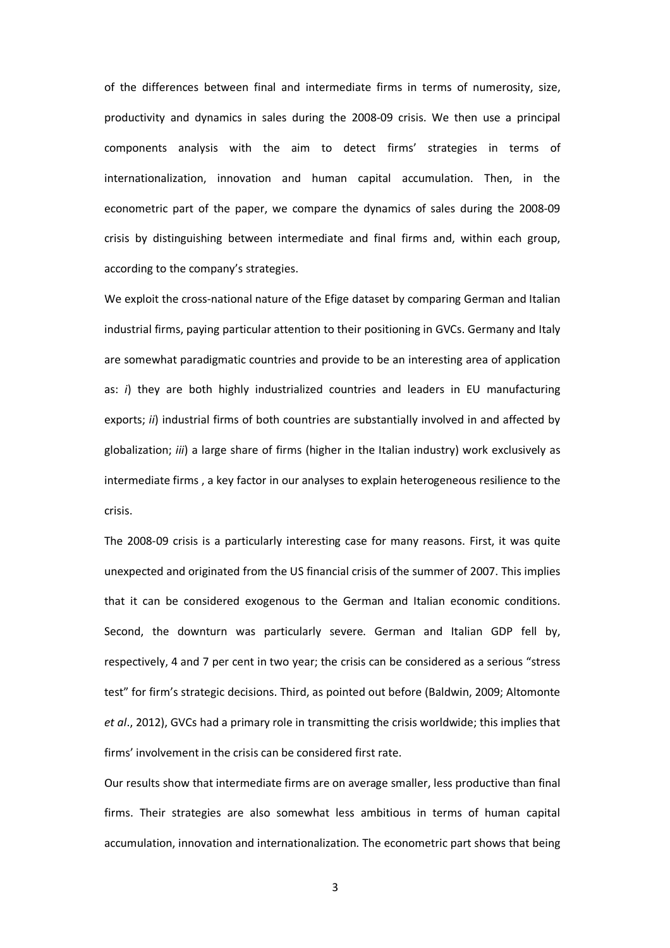of the differences between final and intermediate firms in terms of numerosity, size, productivity and dynamics in sales during the 2008-09 crisis. We then use a principal components analysis with the aim to detect firms' strategies in terms of internationalization, innovation and human capital accumulation. Then, in the econometric part of the paper, we compare the dynamics of sales during the 2008-09 crisis by distinguishing between intermediate and final firms and, within each group, according to the company's strategies.

We exploit the cross-national nature of the Efige dataset by comparing German and Italian industrial firms, paying particular attention to their positioning in GVCs. Germany and Italy are somewhat paradigmatic countries and provide to be an interesting area of application as:  $i)$  they are both highly industrialized countries and leaders in EU manufacturing exports; ii) industrial firms of both countries are substantially involved in and affected by globalization; *iii*) a large share of firms (higher in the Italian industry) work exclusively as intermediate firms , a key factor in our analyses to explain heterogeneous resilience to the crisis.

The 2008-09 crisis is a particularly interesting case for many reasons. First, it was quite unexpected and originated from the US financial crisis of the summer of 2007. This implies that it can be considered exogenous to the German and Italian economic conditions. Second, the downturn was particularly severe. German and Italian GDP fell by, respectively, 4 and 7 per cent in two year; the crisis can be considered as a serious "stress test" for firm's strategic decisions. Third, as pointed out before (Baldwin, 2009; Altomonte et al., 2012), GVCs had a primary role in transmitting the crisis worldwide; this implies that firms' involvement in the crisis can be considered first rate.

Our results show that intermediate firms are on average smaller, less productive than final firms. Their strategies are also somewhat less ambitious in terms of human capital accumulation, innovation and internationalization. The econometric part shows that being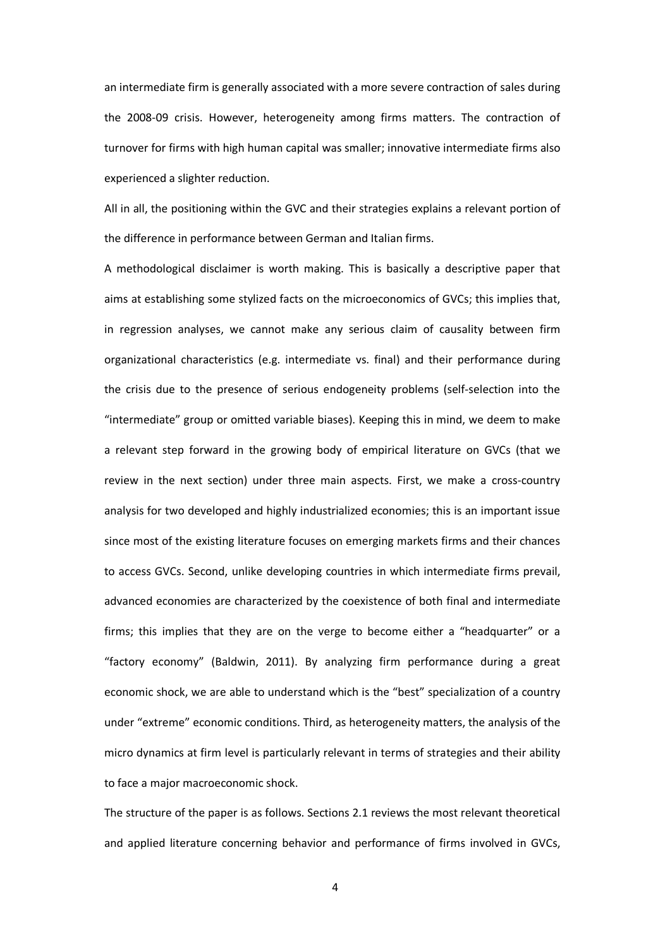an intermediate firm is generally associated with a more severe contraction of sales during the 2008-09 crisis. However, heterogeneity among firms matters. The contraction of turnover for firms with high human capital was smaller; innovative intermediate firms also experienced a slighter reduction.

All in all, the positioning within the GVC and their strategies explains a relevant portion of the difference in performance between German and Italian firms.

A methodological disclaimer is worth making. This is basically a descriptive paper that aims at establishing some stylized facts on the microeconomics of GVCs; this implies that, in regression analyses, we cannot make any serious claim of causality between firm organizational characteristics (e.g. intermediate vs. final) and their performance during the crisis due to the presence of serious endogeneity problems (self-selection into the "intermediate" group or omitted variable biases). Keeping this in mind, we deem to make a relevant step forward in the growing body of empirical literature on GVCs (that we review in the next section) under three main aspects. First, we make a cross-country analysis for two developed and highly industrialized economies; this is an important issue since most of the existing literature focuses on emerging markets firms and their chances to access GVCs. Second, unlike developing countries in which intermediate firms prevail, advanced economies are characterized by the coexistence of both final and intermediate firms; this implies that they are on the verge to become either a "headquarter" or a "factory economy" (Baldwin, 2011). By analyzing firm performance during a great economic shock, we are able to understand which is the "best" specialization of a country under "extreme" economic conditions. Third, as heterogeneity matters, the analysis of the micro dynamics at firm level is particularly relevant in terms of strategies and their ability to face a major macroeconomic shock.

The structure of the paper is as follows. Sections 2.1 reviews the most relevant theoretical and applied literature concerning behavior and performance of firms involved in GVCs,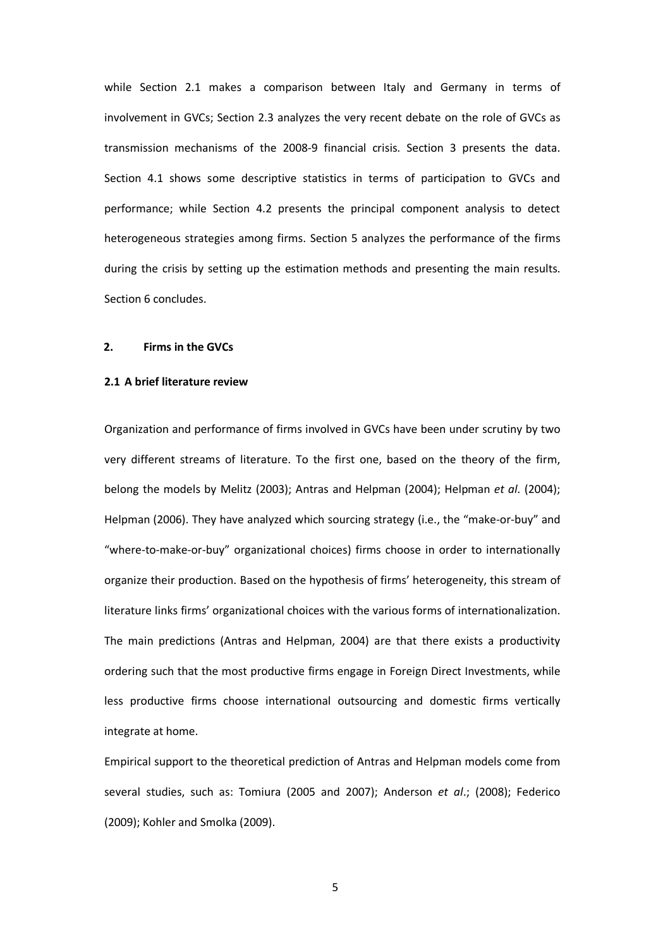while Section 2.1 makes a comparison between Italy and Germany in terms of involvement in GVCs; Section 2.3 analyzes the very recent debate on the role of GVCs as transmission mechanisms of the 2008-9 financial crisis. Section 3 presents the data. Section 4.1 shows some descriptive statistics in terms of participation to GVCs and performance; while Section 4.2 presents the principal component analysis to detect heterogeneous strategies among firms. Section 5 analyzes the performance of the firms during the crisis by setting up the estimation methods and presenting the main results. Section 6 concludes.

### 2. Firms in the GVCs

### 2.1 A brief literature review

Organization and performance of firms involved in GVCs have been under scrutiny by two very different streams of literature. To the first one, based on the theory of the firm, belong the models by Melitz (2003); Antras and Helpman (2004); Helpman et al. (2004); Helpman (2006). They have analyzed which sourcing strategy (i.e., the "make-or-buy" and "where-to-make-or-buy" organizational choices) firms choose in order to internationally organize their production. Based on the hypothesis of firms' heterogeneity, this stream of literature links firms' organizational choices with the various forms of internationalization. The main predictions (Antras and Helpman, 2004) are that there exists a productivity ordering such that the most productive firms engage in Foreign Direct Investments, while less productive firms choose international outsourcing and domestic firms vertically integrate at home.

Empirical support to the theoretical prediction of Antras and Helpman models come from several studies, such as: Tomiura (2005 and 2007); Anderson et al.; (2008); Federico (2009); Kohler and Smolka (2009).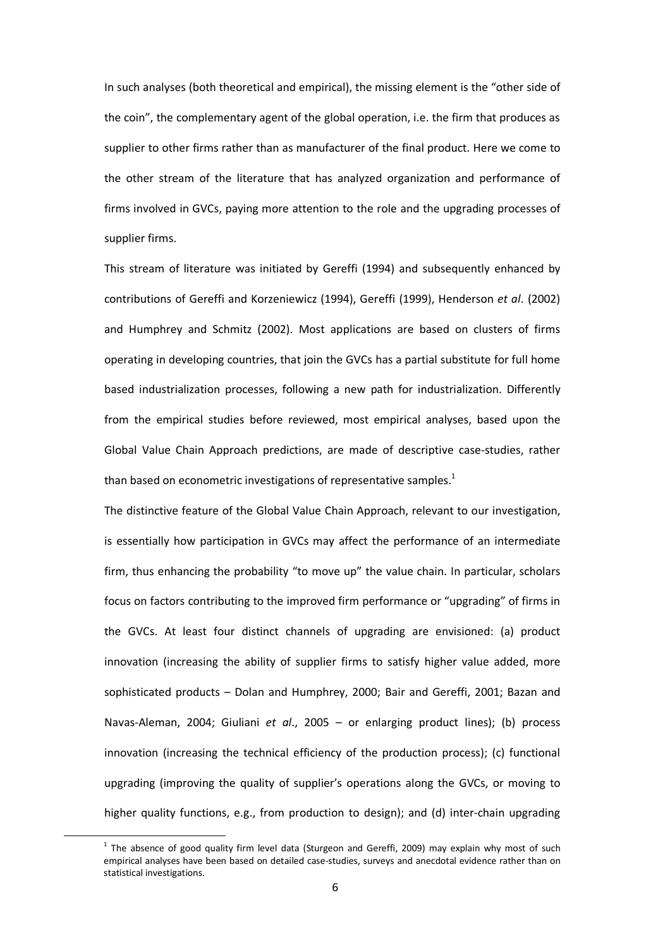In such analyses (both theoretical and empirical), the missing element is the "other side of the coin", the complementary agent of the global operation, i.e. the firm that produces as supplier to other firms rather than as manufacturer of the final product. Here we come to the other stream of the literature that has analyzed organization and performance of firms involved in GVCs, paying more attention to the role and the upgrading processes of supplier firms.

This stream of literature was initiated by Gereffi (1994) and subsequently enhanced by contributions of Gereffi and Korzeniewicz (1994), Gereffi (1999), Henderson et al. (2002) and Humphrey and Schmitz (2002). Most applications are based on clusters of firms operating in developing countries, that join the GVCs has a partial substitute for full home based industrialization processes, following a new path for industrialization. Differently from the empirical studies before reviewed, most empirical analyses, based upon the Global Value Chain Approach predictions, are made of descriptive case-studies, rather than based on econometric investigations of representative samples.<sup>1</sup>

The distinctive feature of the Global Value Chain Approach, relevant to our investigation, is essentially how participation in GVCs may affect the performance of an intermediate firm, thus enhancing the probability "to move up" the value chain. In particular, scholars focus on factors contributing to the improved firm performance or "upgrading" of firms in the GVCs. At least four distinct channels of upgrading are envisioned: (a) product innovation (increasing the ability of supplier firms to satisfy higher value added, more sophisticated products – Dolan and Humphrey, 2000; Bair and Gereffi, 2001; Bazan and Navas-Aleman, 2004; Giuliani et al., 2005 – or enlarging product lines); (b) process innovation (increasing the technical efficiency of the production process); (c) functional upgrading (improving the quality of supplier's operations along the GVCs, or moving to higher quality functions, e.g., from production to design); and (d) inter-chain upgrading

l

 $^1$  The absence of good quality firm level data (Sturgeon and Gereffi, 2009) may explain why most of such empirical analyses have been based on detailed case-studies, surveys and anecdotal evidence rather than on statistical investigations.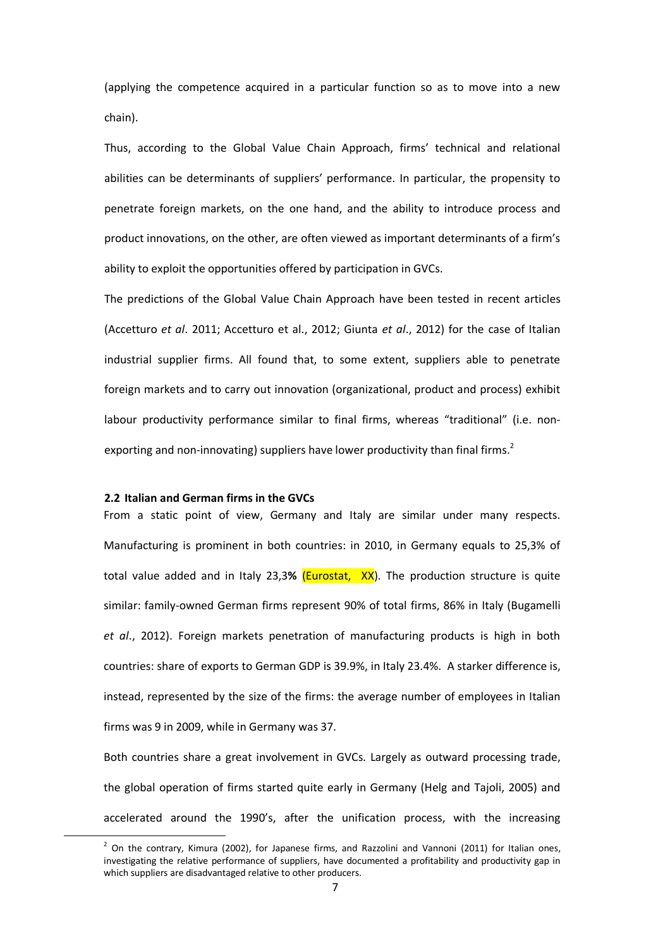(applying the competence acquired in a particular function so as to move into a new chain).

Thus, according to the Global Value Chain Approach, firms' technical and relational abilities can be determinants of suppliers' performance. In particular, the propensity to penetrate foreign markets, on the one hand, and the ability to introduce process and product innovations, on the other, are often viewed as important determinants of a firm's ability to exploit the opportunities offered by participation in GVCs.

The predictions of the Global Value Chain Approach have been tested in recent articles (Accetturo et al. 2011; Accetturo et al., 2012; Giunta et al., 2012) for the case of Italian industrial supplier firms. All found that, to some extent, suppliers able to penetrate foreign markets and to carry out innovation (organizational, product and process) exhibit labour productivity performance similar to final firms, whereas "traditional" (i.e. nonexporting and non-innovating) suppliers have lower productivity than final firms.<sup>2</sup>

### 2.2 Italian and German firms in the GVCs

l

From a static point of view, Germany and Italy are similar under many respects. Manufacturing is prominent in both countries: in 2010, in Germany equals to 25,3% of total value added and in Italy 23,3% (**Eurostat, XX**). The production structure is quite similar: family-owned German firms represent 90% of total firms, 86% in Italy (Bugamelli et al., 2012). Foreign markets penetration of manufacturing products is high in both countries: share of exports to German GDP is 39.9%, in Italy 23.4%. A starker difference is, instead, represented by the size of the firms: the average number of employees in Italian firms was 9 in 2009, while in Germany was 37.

Both countries share a great involvement in GVCs. Largely as outward processing trade, the global operation of firms started quite early in Germany (Helg and Tajoli, 2005) and accelerated around the 1990's, after the unification process, with the increasing

 $^2$  On the contrary, Kimura (2002), for Japanese firms, and Razzolini and Vannoni (2011) for Italian ones, investigating the relative performance of suppliers, have documented a profitability and productivity gap in which suppliers are disadvantaged relative to other producers.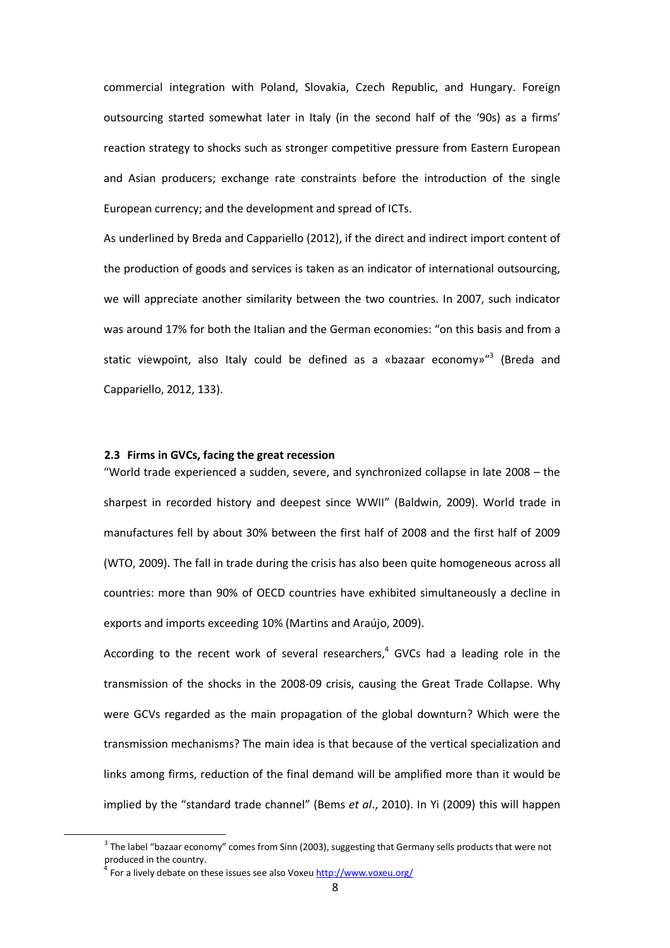commercial integration with Poland, Slovakia, Czech Republic, and Hungary. Foreign outsourcing started somewhat later in Italy (in the second half of the '90s) as a firms' reaction strategy to shocks such as stronger competitive pressure from Eastern European and Asian producers; exchange rate constraints before the introduction of the single European currency; and the development and spread of ICTs.

As underlined by Breda and Cappariello (2012), if the direct and indirect import content of the production of goods and services is taken as an indicator of international outsourcing, we will appreciate another similarity between the two countries. In 2007, such indicator was around 17% for both the Italian and the German economies: "on this basis and from a static viewpoint, also Italy could be defined as a «bazaar economy»<sup>"3</sup> (Breda and Cappariello, 2012, 133).

### 2.3 Firms in GVCs, facing the great recession

"World trade experienced a sudden, severe, and synchronized collapse in late 2008 – the sharpest in recorded history and deepest since WWII" (Baldwin, 2009). World trade in manufactures fell by about 30% between the first half of 2008 and the first half of 2009 (WTO, 2009). The fall in trade during the crisis has also been quite homogeneous across all countries: more than 90% of OECD countries have exhibited simultaneously a decline in exports and imports exceeding 10% (Martins and Araújo, 2009).

According to the recent work of several researchers, 4 GVCs had a leading role in the transmission of the shocks in the 2008-09 crisis, causing the Great Trade Collapse. Why were GCVs regarded as the main propagation of the global downturn? Which were the transmission mechanisms? The main idea is that because of the vertical specialization and links among firms, reduction of the final demand will be amplified more than it would be implied by the "standard trade channel" (Bems et al., 2010). In Yi (2009) this will happen

 $\overline{a}$ 

 $3$  The label "bazaar economy" comes from Sinn (2003), suggesting that Germany sells products that were not produced in the country.

<sup>4</sup> For a lively debate on these issues see also Voxeu http://www.voxeu.org/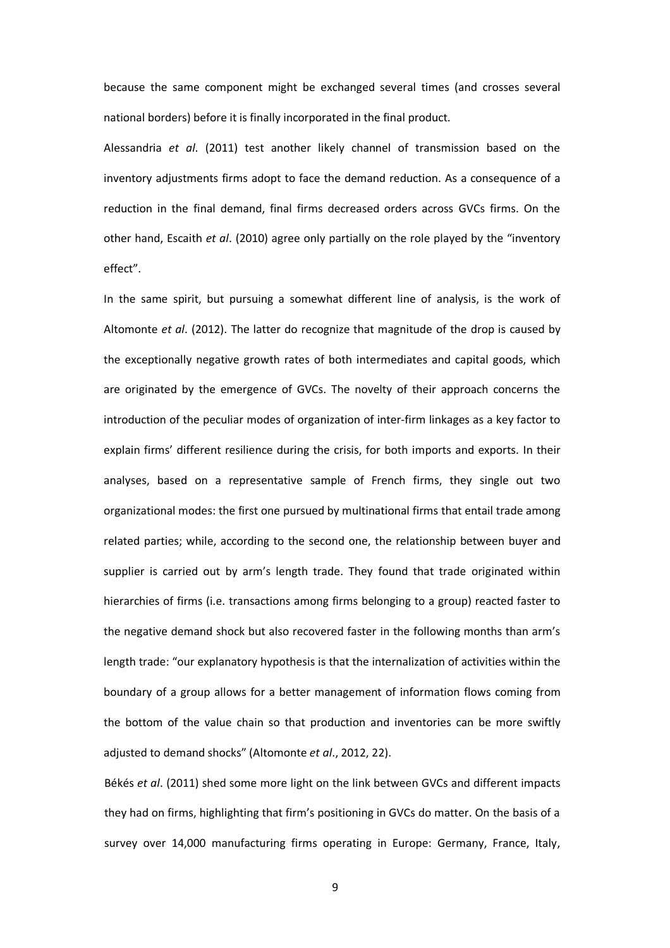because the same component might be exchanged several times (and crosses several national borders) before it is finally incorporated in the final product.

Alessandria et al. (2011) test another likely channel of transmission based on the inventory adjustments firms adopt to face the demand reduction. As a consequence of a reduction in the final demand, final firms decreased orders across GVCs firms. On the other hand, Escaith et al. (2010) agree only partially on the role played by the "inventory effect".

In the same spirit, but pursuing a somewhat different line of analysis, is the work of Altomonte et al. (2012). The latter do recognize that magnitude of the drop is caused by the exceptionally negative growth rates of both intermediates and capital goods, which are originated by the emergence of GVCs. The novelty of their approach concerns the introduction of the peculiar modes of organization of inter-firm linkages as a key factor to explain firms' different resilience during the crisis, for both imports and exports. In their analyses, based on a representative sample of French firms, they single out two organizational modes: the first one pursued by multinational firms that entail trade among related parties; while, according to the second one, the relationship between buyer and supplier is carried out by arm's length trade. They found that trade originated within hierarchies of firms (i.e. transactions among firms belonging to a group) reacted faster to the negative demand shock but also recovered faster in the following months than arm's length trade: "our explanatory hypothesis is that the internalization of activities within the boundary of a group allows for a better management of information flows coming from the bottom of the value chain so that production and inventories can be more swiftly adjusted to demand shocks" (Altomonte et al., 2012, 22).

Békés et al. (2011) shed some more light on the link between GVCs and different impacts they had on firms, highlighting that firm's positioning in GVCs do matter. On the basis of a survey over 14,000 manufacturing firms operating in Europe: Germany, France, Italy,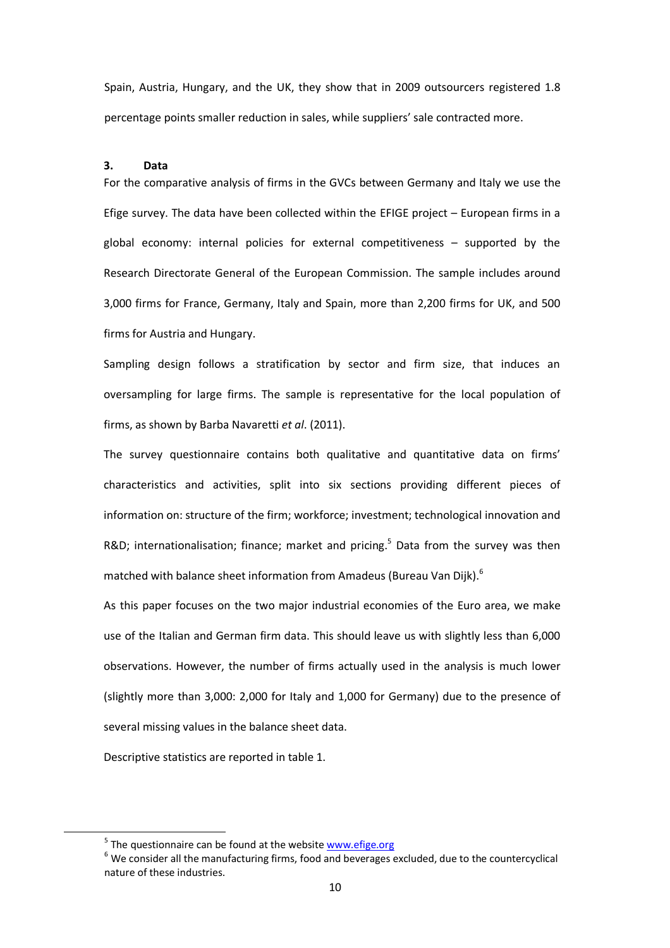Spain, Austria, Hungary, and the UK, they show that in 2009 outsourcers registered 1.8 percentage points smaller reduction in sales, while suppliers' sale contracted more.

### 3. Data

For the comparative analysis of firms in the GVCs between Germany and Italy we use the Efige survey. The data have been collected within the EFIGE project – European firms in a global economy: internal policies for external competitiveness – supported by the Research Directorate General of the European Commission. The sample includes around 3,000 firms for France, Germany, Italy and Spain, more than 2,200 firms for UK, and 500 firms for Austria and Hungary.

Sampling design follows a stratification by sector and firm size, that induces an oversampling for large firms. The sample is representative for the local population of firms, as shown by Barba Navaretti et al. (2011).

The survey questionnaire contains both qualitative and quantitative data on firms' characteristics and activities, split into six sections providing different pieces of information on: structure of the firm; workforce; investment; technological innovation and R&D; internationalisation; finance; market and pricing.<sup>5</sup> Data from the survey was then matched with balance sheet information from Amadeus (Bureau Van Dijk).<sup>6</sup>

As this paper focuses on the two major industrial economies of the Euro area, we make use of the Italian and German firm data. This should leave us with slightly less than 6,000 observations. However, the number of firms actually used in the analysis is much lower (slightly more than 3,000: 2,000 for Italy and 1,000 for Germany) due to the presence of several missing values in the balance sheet data.

Descriptive statistics are reported in table 1.

l

<sup>&</sup>lt;sup>5</sup> The questionnaire can be found at the website **www.efige.org** 

 $^6$  We consider all the manufacturing firms, food and beverages excluded, due to the countercyclical nature of these industries.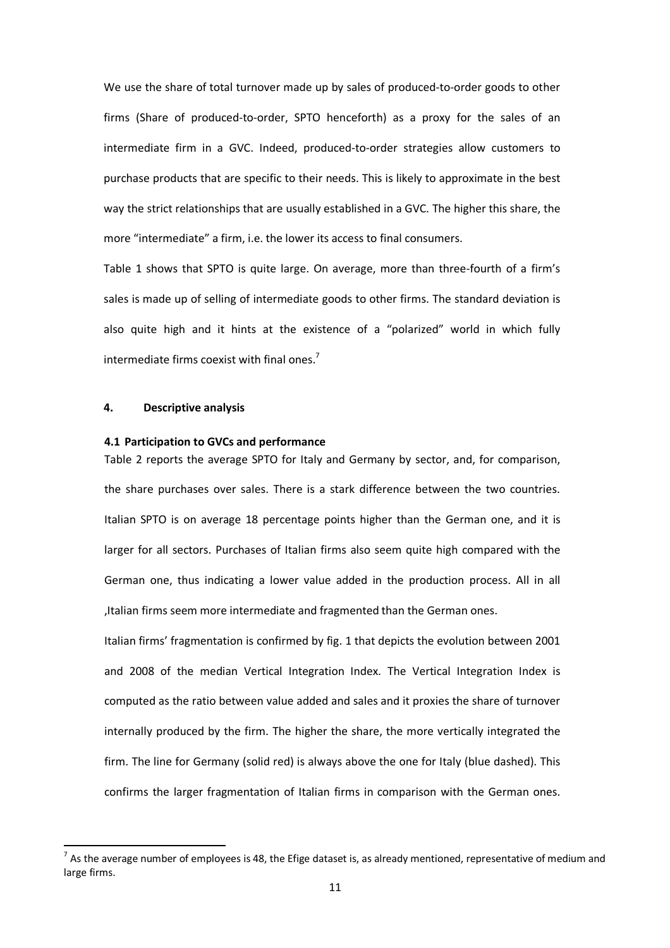We use the share of total turnover made up by sales of produced-to-order goods to other firms (Share of produced-to-order, SPTO henceforth) as a proxy for the sales of an intermediate firm in a GVC. Indeed, produced-to-order strategies allow customers to purchase products that are specific to their needs. This is likely to approximate in the best way the strict relationships that are usually established in a GVC. The higher this share, the more "intermediate" a firm, i.e. the lower its access to final consumers.

Table 1 shows that SPTO is quite large. On average, more than three-fourth of a firm's sales is made up of selling of intermediate goods to other firms. The standard deviation is also quite high and it hints at the existence of a "polarized" world in which fully intermediate firms coexist with final ones.<sup>7</sup>

### 4. Descriptive analysis

l

### 4.1 Participation to GVCs and performance

Table 2 reports the average SPTO for Italy and Germany by sector, and, for comparison, the share purchases over sales. There is a stark difference between the two countries. Italian SPTO is on average 18 percentage points higher than the German one, and it is larger for all sectors. Purchases of Italian firms also seem quite high compared with the German one, thus indicating a lower value added in the production process. All in all ,Italian firms seem more intermediate and fragmented than the German ones.

Italian firms' fragmentation is confirmed by fig. 1 that depicts the evolution between 2001 and 2008 of the median Vertical Integration Index. The Vertical Integration Index is computed as the ratio between value added and sales and it proxies the share of turnover internally produced by the firm. The higher the share, the more vertically integrated the firm. The line for Germany (solid red) is always above the one for Italy (blue dashed). This confirms the larger fragmentation of Italian firms in comparison with the German ones.

<sup>&</sup>lt;sup>7</sup> As the average number of employees is 48, the Efige dataset is, as already mentioned, representative of medium and large firms.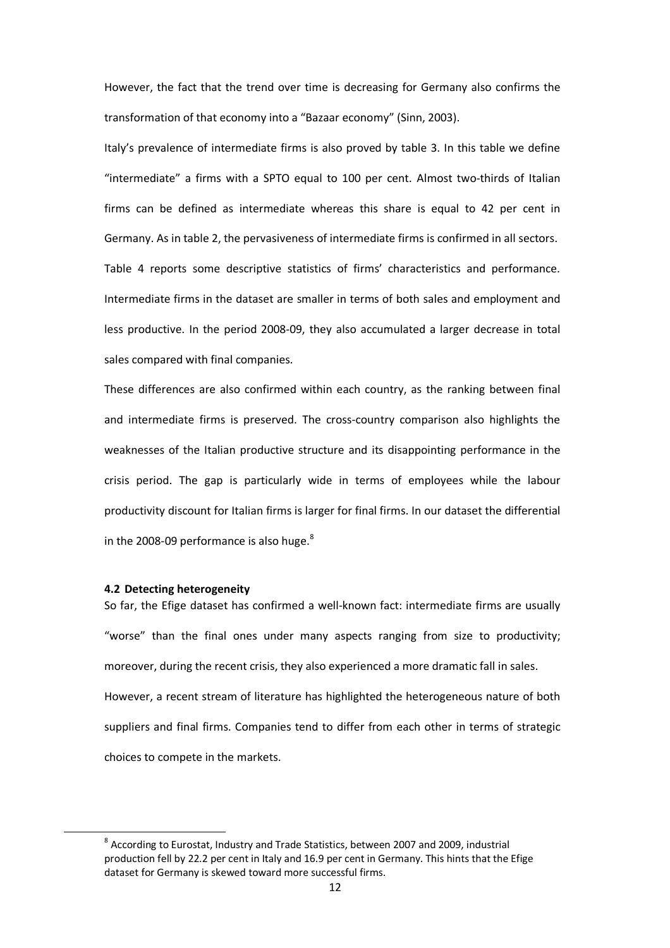However, the fact that the trend over time is decreasing for Germany also confirms the transformation of that economy into a "Bazaar economy" (Sinn, 2003).

Italy's prevalence of intermediate firms is also proved by table 3. In this table we define "intermediate" a firms with a SPTO equal to 100 per cent. Almost two-thirds of Italian firms can be defined as intermediate whereas this share is equal to 42 per cent in Germany. As in table 2, the pervasiveness of intermediate firms is confirmed in all sectors. Table 4 reports some descriptive statistics of firms' characteristics and performance. Intermediate firms in the dataset are smaller in terms of both sales and employment and less productive. In the period 2008-09, they also accumulated a larger decrease in total sales compared with final companies.

These differences are also confirmed within each country, as the ranking between final and intermediate firms is preserved. The cross-country comparison also highlights the weaknesses of the Italian productive structure and its disappointing performance in the crisis period. The gap is particularly wide in terms of employees while the labour productivity discount for Italian firms is larger for final firms. In our dataset the differential in the 2008-09 performance is also huge. $8$ 

### 4.2 Detecting heterogeneity

l

So far, the Efige dataset has confirmed a well-known fact: intermediate firms are usually "worse" than the final ones under many aspects ranging from size to productivity; moreover, during the recent crisis, they also experienced a more dramatic fall in sales. However, a recent stream of literature has highlighted the heterogeneous nature of both suppliers and final firms. Companies tend to differ from each other in terms of strategic choices to compete in the markets.

 $^8$  According to Eurostat, Industry and Trade Statistics, between 2007 and 2009, industrial production fell by 22.2 per cent in Italy and 16.9 per cent in Germany. This hints that the Efige dataset for Germany is skewed toward more successful firms.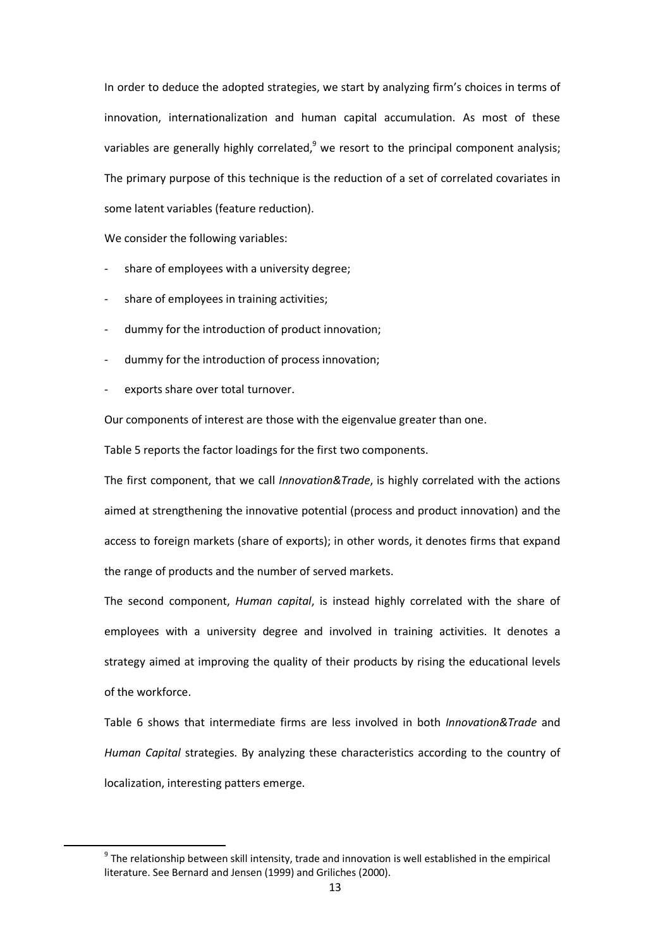In order to deduce the adopted strategies, we start by analyzing firm's choices in terms of innovation, internationalization and human capital accumulation. As most of these variables are generally highly correlated, $9$  we resort to the principal component analysis; The primary purpose of this technique is the reduction of a set of correlated covariates in some latent variables (feature reduction).

We consider the following variables:

- share of employees with a university degree;
- share of employees in training activities;
- dummy for the introduction of product innovation;
- dummy for the introduction of process innovation;
- exports share over total turnover.

l

Our components of interest are those with the eigenvalue greater than one.

Table 5 reports the factor loadings for the first two components.

The first component, that we call Innovation&Trade, is highly correlated with the actions aimed at strengthening the innovative potential (process and product innovation) and the access to foreign markets (share of exports); in other words, it denotes firms that expand the range of products and the number of served markets.

The second component, Human capital, is instead highly correlated with the share of employees with a university degree and involved in training activities. It denotes a strategy aimed at improving the quality of their products by rising the educational levels of the workforce.

Table 6 shows that intermediate firms are less involved in both Innovation&Trade and Human Capital strategies. By analyzing these characteristics according to the country of localization, interesting patters emerge.

 $9$  The relationship between skill intensity, trade and innovation is well established in the empirical literature. See Bernard and Jensen (1999) and Griliches (2000).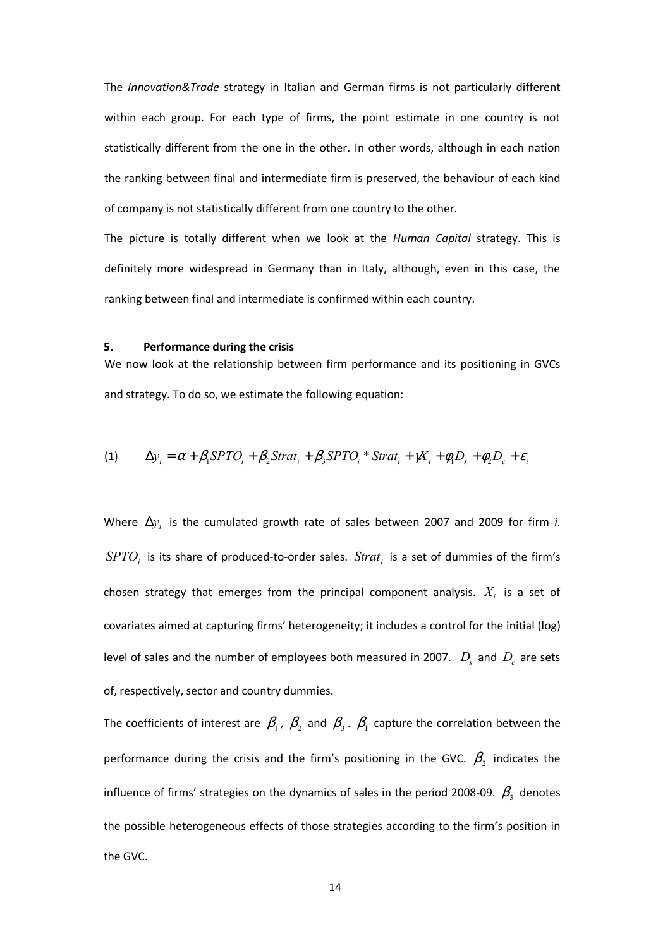The Innovation&Trade strategy in Italian and German firms is not particularly different within each group. For each type of firms, the point estimate in one country is not statistically different from the one in the other. In other words, although in each nation the ranking between final and intermediate firm is preserved, the behaviour of each kind of company is not statistically different from one country to the other.

The picture is totally different when we look at the Human Capital strategy. This is definitely more widespread in Germany than in Italy, although, even in this case, the ranking between final and intermediate is confirmed within each country.

### 5. Performance during the crisis

We now look at the relationship between firm performance and its positioning in GVCs and strategy. To do so, we estimate the following equation:

(1) 
$$
\Delta y_i = \alpha + \beta_1 SPTO_i + \beta_2 Strat_i + \beta_3 SPTO_i * Strat_i + \gamma X_i + \phi_1 D_s + \phi_2 D_c + \varepsilon_i
$$

Where  $\Delta y_i$  is the cumulated growth rate of sales between 2007 and 2009 for firm i.  $SPTO<sub>i</sub>$  is its share of produced-to-order sales.  $Strat<sub>i</sub>$  is a set of dummies of the firm's chosen strategy that emerges from the principal component analysis.  $X_i$  is a set of covariates aimed at capturing firms' heterogeneity; it includes a control for the initial (log) level of sales and the number of employees both measured in 2007.  $D_{s}$  and  $D_{c}$  are sets of, respectively, sector and country dummies.

The coefficients of interest are  $\beta_1$ ,  $\beta_2$  and  $\beta_3$ .  $\beta_1$  capture the correlation between the performance during the crisis and the firm's positioning in the GVC.  $\beta_2$  indicates the influence of firms' strategies on the dynamics of sales in the period 2008-09.  $\beta_{\scriptscriptstyle{3}}$  denotes the possible heterogeneous effects of those strategies according to the firm's position in the GVC.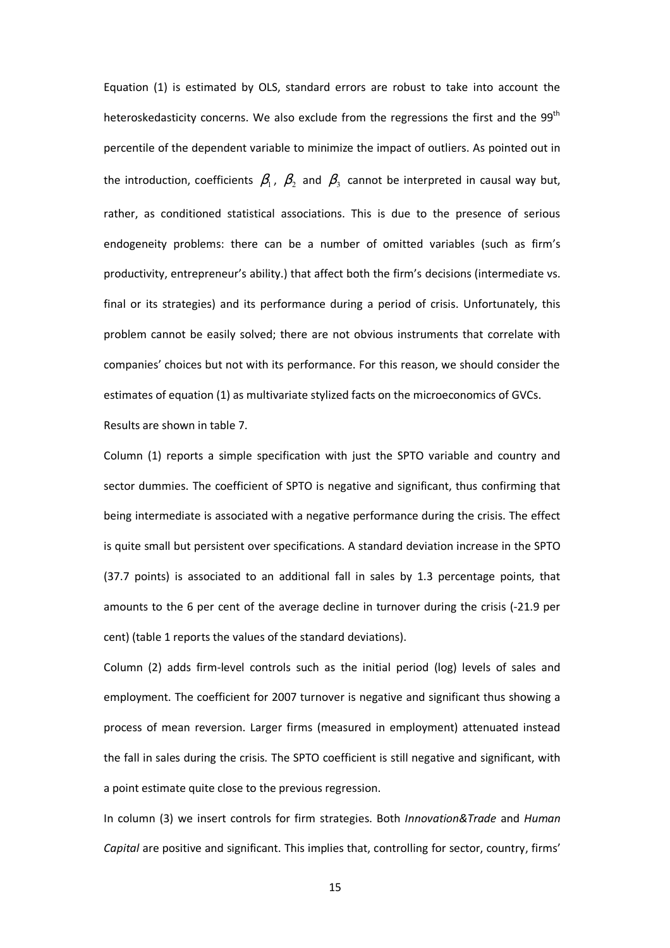Equation (1) is estimated by OLS, standard errors are robust to take into account the heteroskedasticity concerns. We also exclude from the regressions the first and the 99<sup>th</sup> percentile of the dependent variable to minimize the impact of outliers. As pointed out in the introduction, coefficients  $\beta_1$ ,  $\beta_2$  and  $\beta_3$  cannot be interpreted in causal way but, rather, as conditioned statistical associations. This is due to the presence of serious endogeneity problems: there can be a number of omitted variables (such as firm's productivity, entrepreneur's ability.) that affect both the firm's decisions (intermediate vs. final or its strategies) and its performance during a period of crisis. Unfortunately, this problem cannot be easily solved; there are not obvious instruments that correlate with companies' choices but not with its performance. For this reason, we should consider the estimates of equation (1) as multivariate stylized facts on the microeconomics of GVCs. Results are shown in table 7.

Column (1) reports a simple specification with just the SPTO variable and country and sector dummies. The coefficient of SPTO is negative and significant, thus confirming that being intermediate is associated with a negative performance during the crisis. The effect is quite small but persistent over specifications. A standard deviation increase in the SPTO (37.7 points) is associated to an additional fall in sales by 1.3 percentage points, that amounts to the 6 per cent of the average decline in turnover during the crisis (-21.9 per cent) (table 1 reports the values of the standard deviations).

Column (2) adds firm-level controls such as the initial period (log) levels of sales and employment. The coefficient for 2007 turnover is negative and significant thus showing a process of mean reversion. Larger firms (measured in employment) attenuated instead the fall in sales during the crisis. The SPTO coefficient is still negative and significant, with a point estimate quite close to the previous regression.

In column (3) we insert controls for firm strategies. Both Innovation&Trade and Human Capital are positive and significant. This implies that, controlling for sector, country, firms'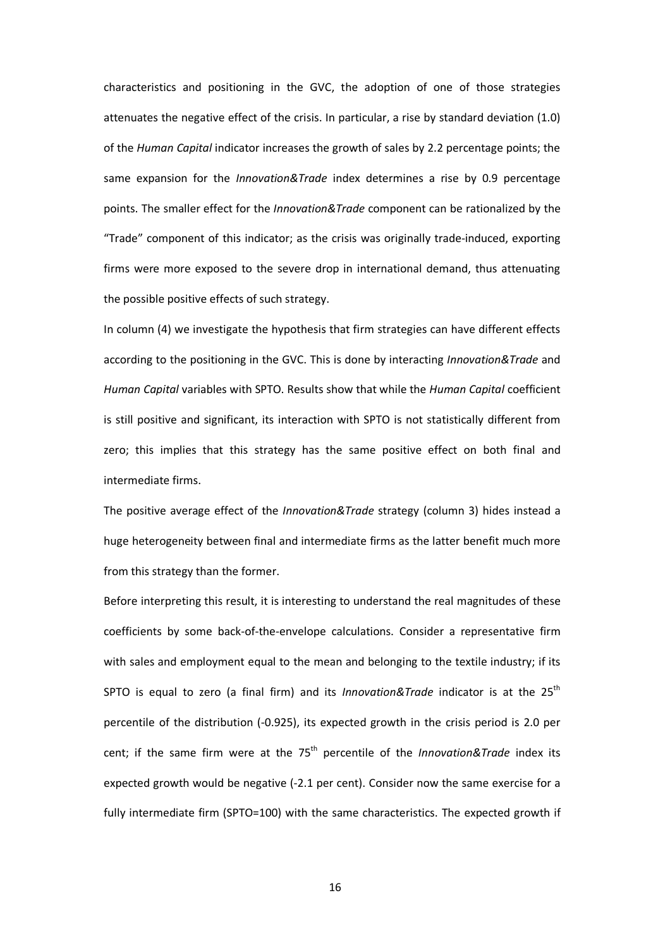characteristics and positioning in the GVC, the adoption of one of those strategies attenuates the negative effect of the crisis. In particular, a rise by standard deviation (1.0) of the Human Capital indicator increases the growth of sales by 2.2 percentage points; the same expansion for the Innovation&Trade index determines a rise by 0.9 percentage points. The smaller effect for the *Innovation&Trade* component can be rationalized by the "Trade" component of this indicator; as the crisis was originally trade-induced, exporting firms were more exposed to the severe drop in international demand, thus attenuating the possible positive effects of such strategy.

In column (4) we investigate the hypothesis that firm strategies can have different effects according to the positioning in the GVC. This is done by interacting *Innovation&Trade* and Human Capital variables with SPTO. Results show that while the Human Capital coefficient is still positive and significant, its interaction with SPTO is not statistically different from zero; this implies that this strategy has the same positive effect on both final and intermediate firms.

The positive average effect of the Innovation&Trade strategy (column 3) hides instead a huge heterogeneity between final and intermediate firms as the latter benefit much more from this strategy than the former.

Before interpreting this result, it is interesting to understand the real magnitudes of these coefficients by some back-of-the-envelope calculations. Consider a representative firm with sales and employment equal to the mean and belonging to the textile industry; if its SPTO is equal to zero (a final firm) and its Innovation&Trade indicator is at the  $25^{th}$ percentile of the distribution (-0.925), its expected growth in the crisis period is 2.0 per cent; if the same firm were at the  $75<sup>th</sup>$  percentile of the *Innovation&Trade* index its expected growth would be negative (-2.1 per cent). Consider now the same exercise for a fully intermediate firm (SPTO=100) with the same characteristics. The expected growth if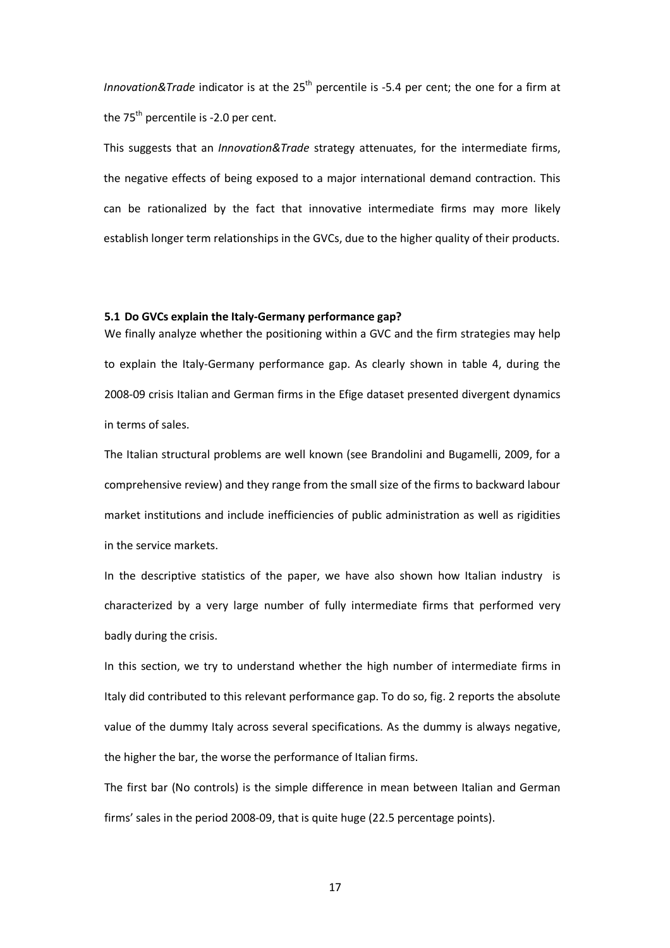Innovation&Trade indicator is at the  $25<sup>th</sup>$  percentile is -5.4 per cent; the one for a firm at the  $75<sup>th</sup>$  percentile is -2.0 per cent.

This suggests that an *Innovation&Trade* strategy attenuates, for the intermediate firms, the negative effects of being exposed to a major international demand contraction. This can be rationalized by the fact that innovative intermediate firms may more likely establish longer term relationships in the GVCs, due to the higher quality of their products.

# 5.1 Do GVCs explain the Italy-Germany performance gap?

We finally analyze whether the positioning within a GVC and the firm strategies may help to explain the Italy-Germany performance gap. As clearly shown in table 4, during the 2008-09 crisis Italian and German firms in the Efige dataset presented divergent dynamics in terms of sales.

The Italian structural problems are well known (see Brandolini and Bugamelli, 2009, for a comprehensive review) and they range from the small size of the firms to backward labour market institutions and include inefficiencies of public administration as well as rigidities in the service markets.

In the descriptive statistics of the paper, we have also shown how Italian industry is characterized by a very large number of fully intermediate firms that performed very badly during the crisis.

In this section, we try to understand whether the high number of intermediate firms in Italy did contributed to this relevant performance gap. To do so, fig. 2 reports the absolute value of the dummy Italy across several specifications. As the dummy is always negative, the higher the bar, the worse the performance of Italian firms.

The first bar (No controls) is the simple difference in mean between Italian and German firms' sales in the period 2008-09, that is quite huge (22.5 percentage points).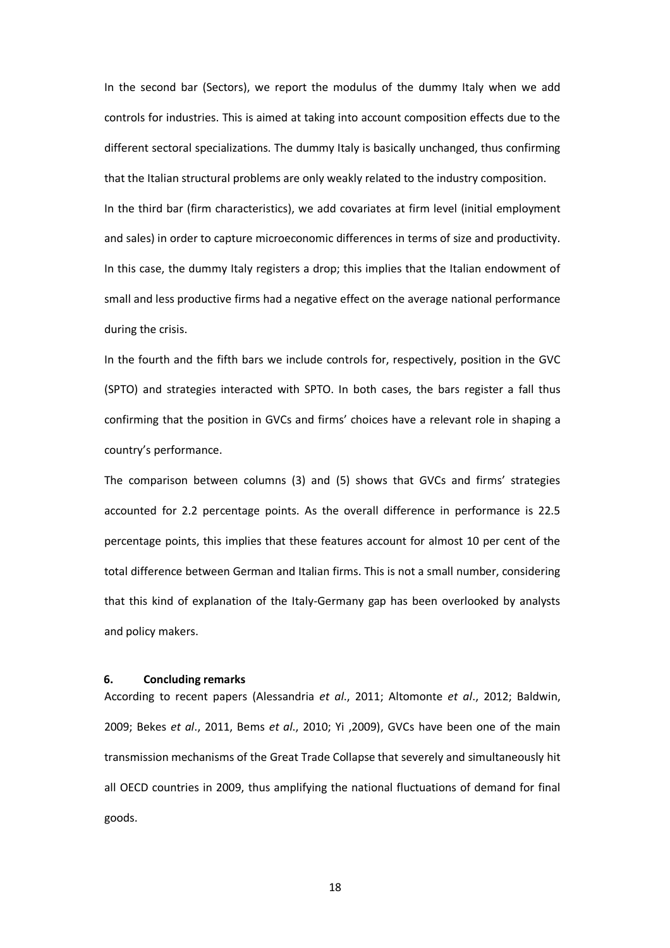In the second bar (Sectors), we report the modulus of the dummy Italy when we add controls for industries. This is aimed at taking into account composition effects due to the different sectoral specializations. The dummy Italy is basically unchanged, thus confirming that the Italian structural problems are only weakly related to the industry composition. In the third bar (firm characteristics), we add covariates at firm level (initial employment and sales) in order to capture microeconomic differences in terms of size and productivity. In this case, the dummy Italy registers a drop; this implies that the Italian endowment of small and less productive firms had a negative effect on the average national performance during the crisis.

In the fourth and the fifth bars we include controls for, respectively, position in the GVC (SPTO) and strategies interacted with SPTO. In both cases, the bars register a fall thus confirming that the position in GVCs and firms' choices have a relevant role in shaping a country's performance.

The comparison between columns (3) and (5) shows that GVCs and firms' strategies accounted for 2.2 percentage points. As the overall difference in performance is 22.5 percentage points, this implies that these features account for almost 10 per cent of the total difference between German and Italian firms. This is not a small number, considering that this kind of explanation of the Italy-Germany gap has been overlooked by analysts and policy makers.

#### 6. Concluding remarks

According to recent papers (Alessandria et al., 2011; Altomonte et al., 2012; Baldwin, 2009; Bekes et al., 2011, Bems et al., 2010; Yi , 2009), GVCs have been one of the main transmission mechanisms of the Great Trade Collapse that severely and simultaneously hit all OECD countries in 2009, thus amplifying the national fluctuations of demand for final goods.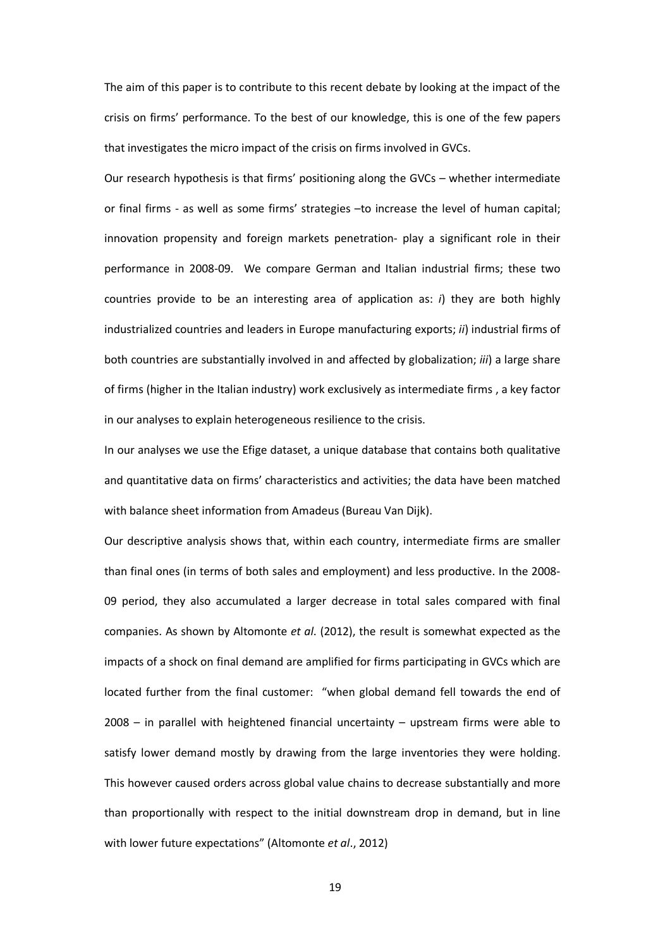The aim of this paper is to contribute to this recent debate by looking at the impact of the crisis on firms' performance. To the best of our knowledge, this is one of the few papers that investigates the micro impact of the crisis on firms involved in GVCs.

Our research hypothesis is that firms' positioning along the GVCs – whether intermediate or final firms - as well as some firms' strategies –to increase the level of human capital; innovation propensity and foreign markets penetration- play a significant role in their performance in 2008-09. We compare German and Italian industrial firms; these two countries provide to be an interesting area of application as:  $i$ ) they are both highly industrialized countries and leaders in Europe manufacturing exports; *ii*) industrial firms of both countries are substantially involved in and affected by globalization; *iii*) a large share of firms (higher in the Italian industry) work exclusively as intermediate firms , a key factor in our analyses to explain heterogeneous resilience to the crisis.

In our analyses we use the Efige dataset, a unique database that contains both qualitative and quantitative data on firms' characteristics and activities; the data have been matched with balance sheet information from Amadeus (Bureau Van Dijk).

Our descriptive analysis shows that, within each country, intermediate firms are smaller than final ones (in terms of both sales and employment) and less productive. In the 2008- 09 period, they also accumulated a larger decrease in total sales compared with final companies. As shown by Altomonte et al. (2012), the result is somewhat expected as the impacts of a shock on final demand are amplified for firms participating in GVCs which are located further from the final customer: "when global demand fell towards the end of 2008 – in parallel with heightened financial uncertainty – upstream firms were able to satisfy lower demand mostly by drawing from the large inventories they were holding. This however caused orders across global value chains to decrease substantially and more than proportionally with respect to the initial downstream drop in demand, but in line with lower future expectations" (Altomonte et al., 2012)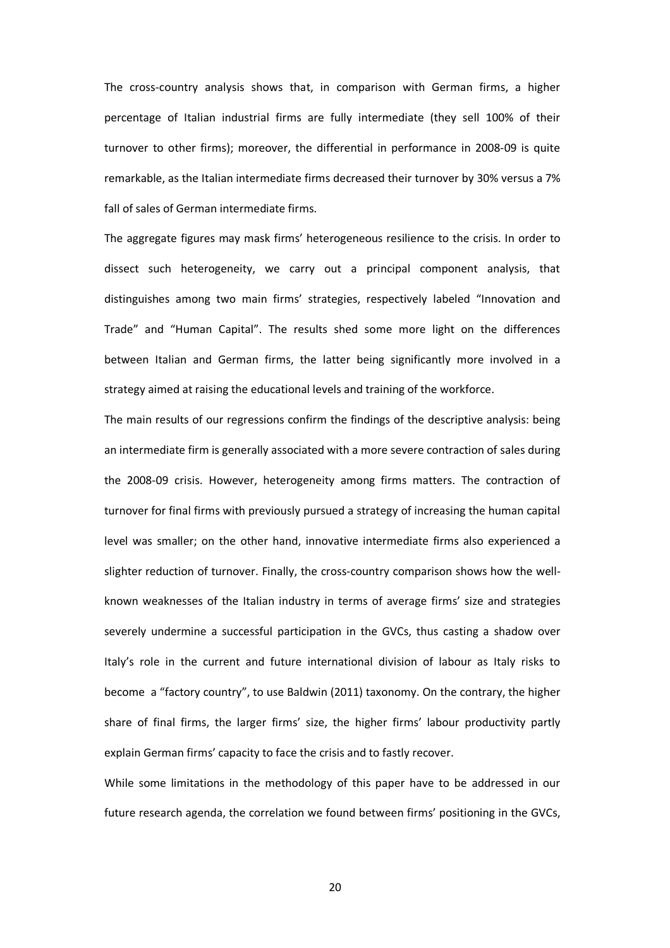The cross-country analysis shows that, in comparison with German firms, a higher percentage of Italian industrial firms are fully intermediate (they sell 100% of their turnover to other firms); moreover, the differential in performance in 2008-09 is quite remarkable, as the Italian intermediate firms decreased their turnover by 30% versus a 7% fall of sales of German intermediate firms.

The aggregate figures may mask firms' heterogeneous resilience to the crisis. In order to dissect such heterogeneity, we carry out a principal component analysis, that distinguishes among two main firms' strategies, respectively labeled "Innovation and Trade" and "Human Capital". The results shed some more light on the differences between Italian and German firms, the latter being significantly more involved in a strategy aimed at raising the educational levels and training of the workforce.

The main results of our regressions confirm the findings of the descriptive analysis: being an intermediate firm is generally associated with a more severe contraction of sales during the 2008-09 crisis. However, heterogeneity among firms matters. The contraction of turnover for final firms with previously pursued a strategy of increasing the human capital level was smaller; on the other hand, innovative intermediate firms also experienced a slighter reduction of turnover. Finally, the cross-country comparison shows how the wellknown weaknesses of the Italian industry in terms of average firms' size and strategies severely undermine a successful participation in the GVCs, thus casting a shadow over Italy's role in the current and future international division of labour as Italy risks to become a "factory country", to use Baldwin (2011) taxonomy. On the contrary, the higher share of final firms, the larger firms' size, the higher firms' labour productivity partly explain German firms' capacity to face the crisis and to fastly recover.

While some limitations in the methodology of this paper have to be addressed in our future research agenda, the correlation we found between firms' positioning in the GVCs,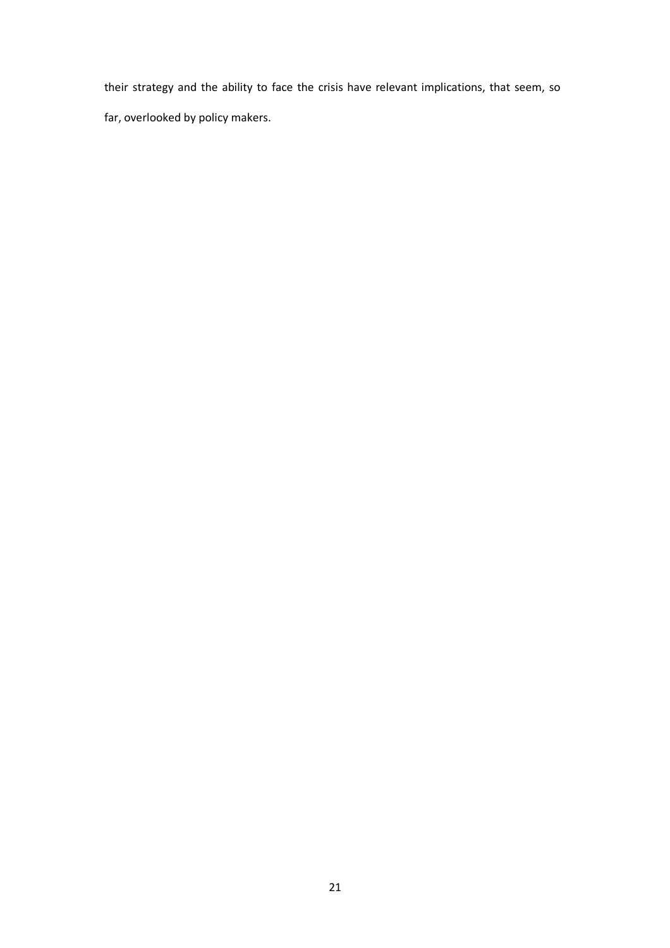their strategy and the ability to face the crisis have relevant implications, that seem, so far, overlooked by policy makers.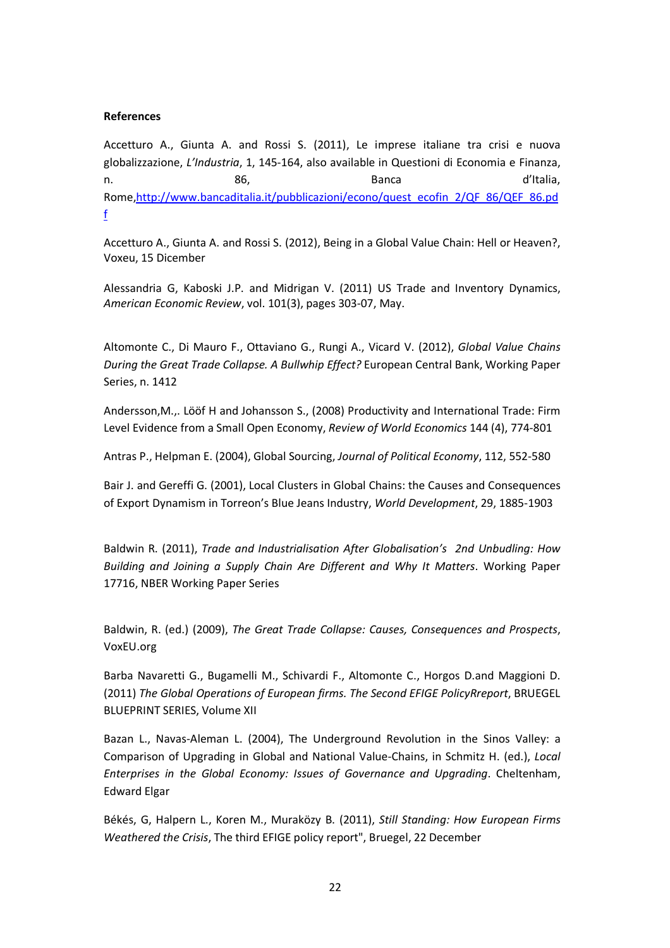## References

Accetturo A., Giunta A. and Rossi S. (2011), Le imprese italiane tra crisi e nuova globalizzazione, L'Industria, 1, 145-164, also available in Questioni di Economia e Finanza, n. Solomo and the set of the Banca and the d'Italia, and the set of the set of the set of the set of the set o Rome,http://www.bancaditalia.it/pubblicazioni/econo/quest\_ecofin\_2/QF\_86/QEF\_86.pd f

Accetturo A., Giunta A. and Rossi S. (2012), Being in a Global Value Chain: Hell or Heaven?, Voxeu, 15 Dicember

Alessandria G, Kaboski J.P. and Midrigan V. (2011) US Trade and Inventory Dynamics, American Economic Review, vol. 101(3), pages 303-07, May.

Altomonte C., Di Mauro F., Ottaviano G., Rungi A., Vicard V. (2012), Global Value Chains During the Great Trade Collapse. A Bullwhip Effect? European Central Bank, Working Paper Series, n. 1412

Andersson,M.,. Lööf H and Johansson S., (2008) Productivity and International Trade: Firm Level Evidence from a Small Open Economy, Review of World Economics 144 (4), 774-801

Antras P., Helpman E. (2004), Global Sourcing, Journal of Political Economy, 112, 552-580

Bair J. and Gereffi G. (2001), Local Clusters in Global Chains: the Causes and Consequences of Export Dynamism in Torreon's Blue Jeans Industry, World Development, 29, 1885-1903

Baldwin R. (2011), Trade and Industrialisation After Globalisation's 2nd Unbudling: How Building and Joining a Supply Chain Are Different and Why It Matters. Working Paper 17716, NBER Working Paper Series

Baldwin, R. (ed.) (2009), The Great Trade Collapse: Causes, Consequences and Prospects, VoxEU.org

Barba Navaretti G., Bugamelli M., Schivardi F., Altomonte C., Horgos D.and Maggioni D. (2011) The Global Operations of European firms. The Second EFIGE PolicyRreport, BRUEGEL BLUEPRINT SERIES, Volume XII

Bazan L., Navas-Aleman L. (2004), The Underground Revolution in the Sinos Valley: a Comparison of Upgrading in Global and National Value-Chains, in Schmitz H. (ed.), Local Enterprises in the Global Economy: Issues of Governance and Upgrading. Cheltenham, Edward Elgar

Békés, G, Halpern L., Koren M., Muraközy B. (2011), Still Standing: How European Firms Weathered the Crisis, The third EFIGE policy report", Bruegel, 22 December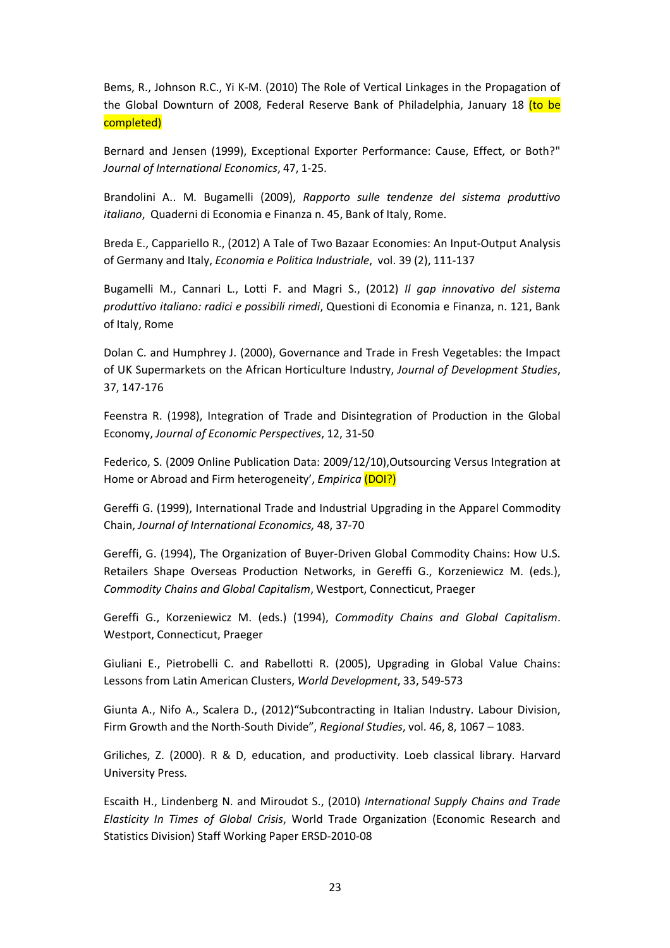Bems, R., Johnson R.C., Yi K-M. (2010) The Role of Vertical Linkages in the Propagation of the Global Downturn of 2008, Federal Reserve Bank of Philadelphia, January 18 (to be completed)

Bernard and Jensen (1999), Exceptional Exporter Performance: Cause, Effect, or Both?" Journal of International Economics, 47, 1-25.

Brandolini A.. M. Bugamelli (2009), Rapporto sulle tendenze del sistema produttivo italiano, Quaderni di Economia e Finanza n. 45, Bank of Italy, Rome.

Breda E., Cappariello R., (2012) A Tale of Two Bazaar Economies: An Input-Output Analysis of Germany and Italy, Economia e Politica Industriale, vol. 39 (2), 111-137

Bugamelli M., Cannari L., Lotti F. and Magri S., (2012) Il gap innovativo del sistema produttivo italiano: radici e possibili rimedi, Questioni di Economia e Finanza, n. 121, Bank of Italy, Rome

Dolan C. and Humphrey J. (2000), Governance and Trade in Fresh Vegetables: the Impact of UK Supermarkets on the African Horticulture Industry, Journal of Development Studies, 37, 147-176

Feenstra R. (1998), Integration of Trade and Disintegration of Production in the Global Economy, Journal of Economic Perspectives, 12, 31-50

Federico, S. (2009 Online Publication Data: 2009/12/10),Outsourcing Versus Integration at Home or Abroad and Firm heterogeneity', Empirica (DOI?)

Gereffi G. (1999), International Trade and Industrial Upgrading in the Apparel Commodity Chain, Journal of International Economics, 48, 37-70

Gereffi, G. (1994), The Organization of Buyer-Driven Global Commodity Chains: How U.S. Retailers Shape Overseas Production Networks, in Gereffi G., Korzeniewicz M. (eds.), Commodity Chains and Global Capitalism, Westport, Connecticut, Praeger

Gereffi G., Korzeniewicz M. (eds.) (1994), Commodity Chains and Global Capitalism. Westport, Connecticut, Praeger

Giuliani E., Pietrobelli C. and Rabellotti R. (2005), Upgrading in Global Value Chains: Lessons from Latin American Clusters, World Development, 33, 549-573

Giunta A., Nifo A., Scalera D., (2012)"Subcontracting in Italian Industry. Labour Division, Firm Growth and the North-South Divide", Regional Studies, vol. 46, 8, 1067 – 1083.

Griliches, Z. (2000). R & D, education, and productivity. Loeb classical library. Harvard University Press.

Escaith H., Lindenberg N. and Miroudot S., (2010) International Supply Chains and Trade Elasticity In Times of Global Crisis, World Trade Organization (Economic Research and Statistics Division) Staff Working Paper ERSD-2010-08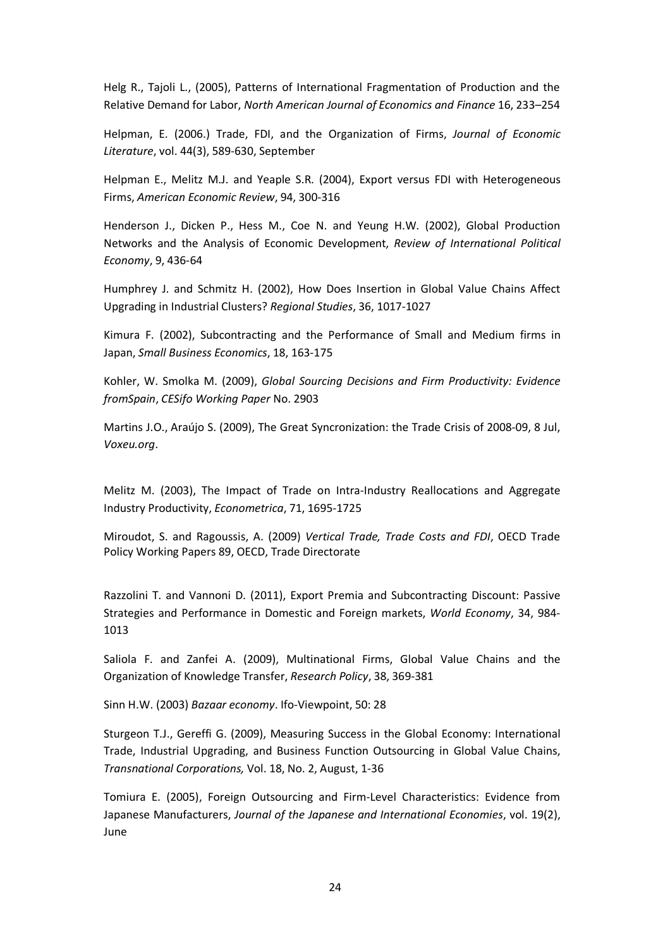Helg R., Tajoli L., (2005), Patterns of International Fragmentation of Production and the Relative Demand for Labor, North American Journal of Economics and Finance 16, 233–254

Helpman, E. (2006.) Trade, FDI, and the Organization of Firms, Journal of Economic Literature, vol. 44(3), 589-630, September

Helpman E., Melitz M.J. and Yeaple S.R. (2004), Export versus FDI with Heterogeneous Firms, American Economic Review, 94, 300-316

Henderson J., Dicken P., Hess M., Coe N. and Yeung H.W. (2002), Global Production Networks and the Analysis of Economic Development, Review of International Political Economy, 9, 436-64

Humphrey J. and Schmitz H. (2002), How Does Insertion in Global Value Chains Affect Upgrading in Industrial Clusters? Regional Studies, 36, 1017-1027

Kimura F. (2002), Subcontracting and the Performance of Small and Medium firms in Japan, Small Business Economics, 18, 163-175

Kohler, W. Smolka M. (2009), Global Sourcing Decisions and Firm Productivity: Evidence fromSpain, CESifo Working Paper No. 2903

Martins J.O., Araújo S. (2009), The Great Syncronization: the Trade Crisis of 2008-09, 8 Jul, Voxeu.org.

Melitz M. (2003), The Impact of Trade on Intra-Industry Reallocations and Aggregate Industry Productivity, Econometrica, 71, 1695-1725

Miroudot, S. and Ragoussis, A. (2009) Vertical Trade, Trade Costs and FDI, OECD Trade Policy Working Papers 89, OECD, Trade Directorate

Razzolini T. and Vannoni D. (2011), Export Premia and Subcontracting Discount: Passive Strategies and Performance in Domestic and Foreign markets, World Economy, 34, 984- 1013

Saliola F. and Zanfei A. (2009), Multinational Firms, Global Value Chains and the Organization of Knowledge Transfer, Research Policy, 38, 369-381

Sinn H.W. (2003) Bazaar economy. Ifo-Viewpoint, 50: 28

Sturgeon T.J., Gereffi G. (2009), Measuring Success in the Global Economy: International Trade, Industrial Upgrading, and Business Function Outsourcing in Global Value Chains, Transnational Corporations, Vol. 18, No. 2, August, 1-36

Tomiura E. (2005), Foreign Outsourcing and Firm-Level Characteristics: Evidence from Japanese Manufacturers, Journal of the Japanese and International Economies, vol. 19(2), June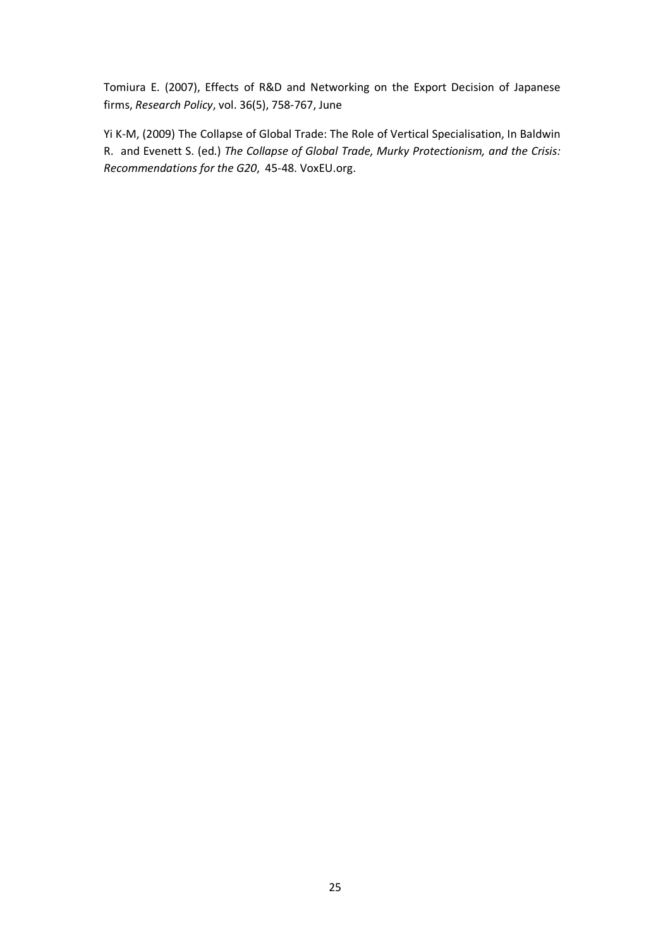Tomiura E. (2007), Effects of R&D and Networking on the Export Decision of Japanese firms, Research Policy, vol. 36(5), 758-767, June

Yi K-M, (2009) The Collapse of Global Trade: The Role of Vertical Specialisation, In Baldwin R. and Evenett S. (ed.) The Collapse of Global Trade, Murky Protectionism, and the Crisis: Recommendations for the G20, 45-48. VoxEU.org.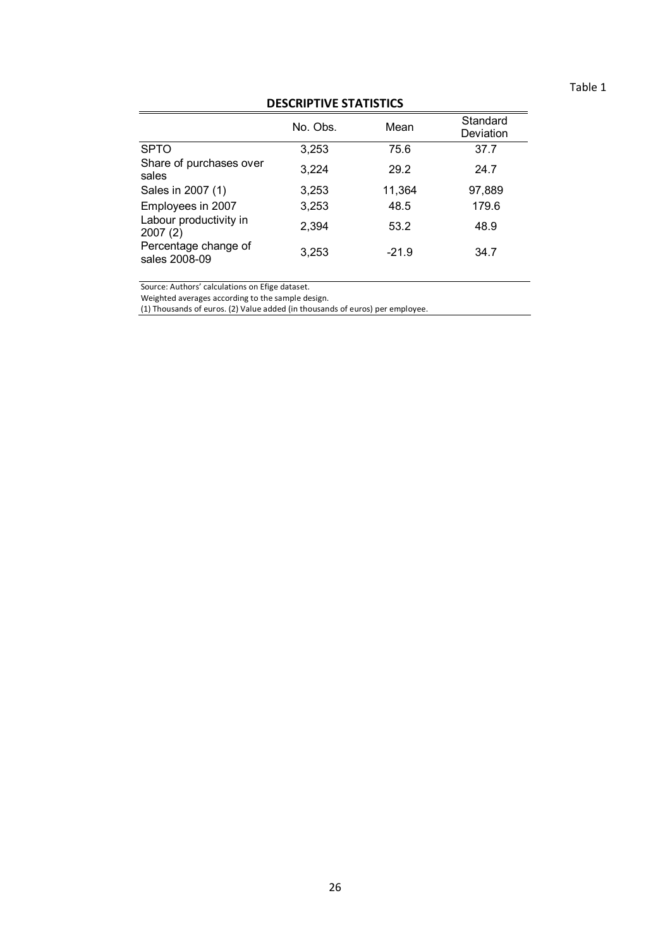| DESCRIPTIVE STATISTICS                |          |         |                       |  |  |
|---------------------------------------|----------|---------|-----------------------|--|--|
|                                       | No. Obs. | Mean    | Standard<br>Deviation |  |  |
| <b>SPTO</b>                           | 3,253    | 75.6    | 37.7                  |  |  |
| Share of purchases over<br>sales      | 3,224    | 29.2    | 24.7                  |  |  |
| Sales in 2007 (1)                     | 3,253    | 11,364  | 97,889                |  |  |
| Employees in 2007                     | 3,253    | 48.5    | 179.6                 |  |  |
| Labour productivity in<br>2007(2)     | 2,394    | 53.2    | 48.9                  |  |  |
| Percentage change of<br>sales 2008-09 | 3,253    | $-21.9$ | 34.7                  |  |  |

# DESCRIPTIVE STATISTICS

Source: Authors' calculations on Efige dataset.

Weighted averages according to the sample design.

(1) Thousands of euros. (2) Value added (in thousands of euros) per employee.

# Table 1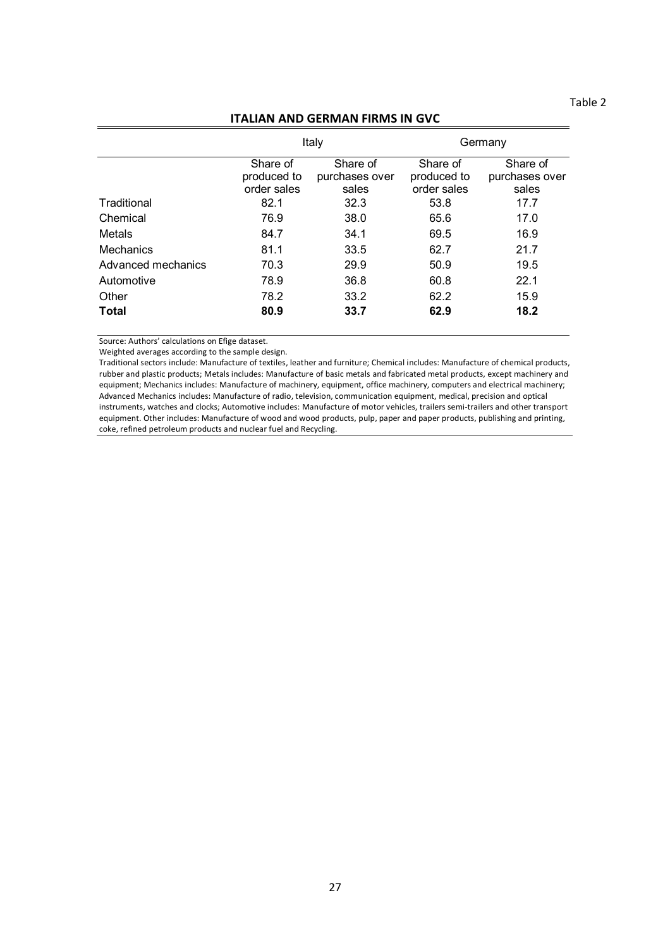Table 2

# ITALIAN AND GERMAN FIRMS IN GVC

|                    |                                        | Italy                               | Germany                                |                                     |  |
|--------------------|----------------------------------------|-------------------------------------|----------------------------------------|-------------------------------------|--|
|                    | Share of<br>produced to<br>order sales | Share of<br>purchases over<br>sales | Share of<br>produced to<br>order sales | Share of<br>purchases over<br>sales |  |
| Traditional        | 82.1                                   | 32.3                                | 53.8                                   | 17.7                                |  |
| Chemical           | 76.9                                   | 38.0                                | 65.6                                   | 17.0                                |  |
| Metals             | 84.7                                   | 34.1                                | 69.5                                   | 16.9                                |  |
| Mechanics          | 81.1                                   | 33.5                                | 62.7                                   | 21.7                                |  |
| Advanced mechanics | 70.3                                   | 29.9                                | 50.9                                   | 19.5                                |  |
| Automotive         | 78.9                                   | 36.8                                | 60.8                                   | 22.1                                |  |
| Other              | 78.2                                   | 33.2                                | 62.2                                   | 15.9                                |  |
| <b>Total</b>       | 80.9                                   | 33.7                                | 62.9                                   | 18.2                                |  |

Source: Authors' calculations on Efige dataset.

Weighted averages according to the sample design.

Traditional sectors include: Manufacture of textiles, leather and furniture; Chemical includes: Manufacture of chemical products, rubber and plastic products; Metals includes: Manufacture of basic metals and fabricated metal products, except machinery and equipment; Mechanics includes: Manufacture of machinery, equipment, office machinery, computers and electrical machinery; Advanced Mechanics includes: Manufacture of radio, television, communication equipment, medical, precision and optical instruments, watches and clocks; Automotive includes: Manufacture of motor vehicles, trailers semi-trailers and other transport equipment. Other includes: Manufacture of wood and wood products, pulp, paper and paper products, publishing and printing, coke, refined petroleum products and nuclear fuel and Recycling.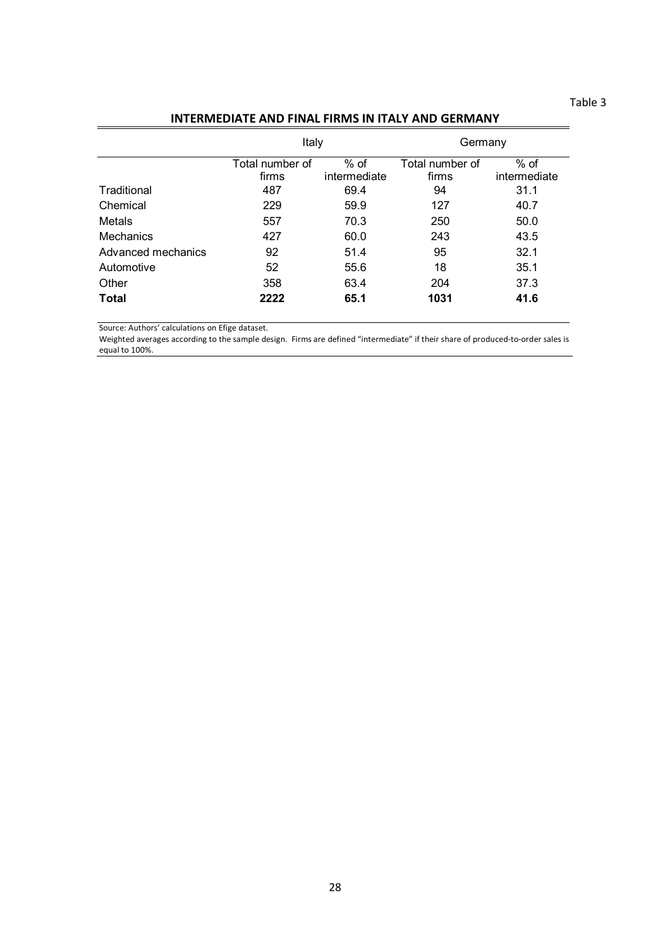## Table 3

# INTERMEDIATE AND FINAL FIRMS IN ITALY AND GERMANY

|                    | Italy                    |                        | Germany                  |                      |
|--------------------|--------------------------|------------------------|--------------------------|----------------------|
|                    | Total number of<br>firms | $%$ of<br>intermediate | Total number of<br>firms | % of<br>intermediate |
| Traditional        | 487                      | 69.4                   | 94                       | 31.1                 |
| Chemical           | 229                      | 59.9                   | 127                      | 40.7                 |
| Metals             | 557                      | 70.3                   | 250                      | 50.0                 |
| Mechanics          | 427                      | 60.0                   | 243                      | 43.5                 |
| Advanced mechanics | 92                       | 51.4                   | 95                       | 32.1                 |
| Automotive         | 52                       | 55.6                   | 18                       | 35.1                 |
| Other              | 358                      | 63.4                   | 204                      | 37.3                 |
| <b>Total</b>       | 2222                     | 65.1                   | 1031                     | 41.6                 |

Source: Authors' calculations on Efige dataset.

Weighted averages according to the sample design. Firms are defined "intermediate" if their share of produced-to-order sales is equal to 100%.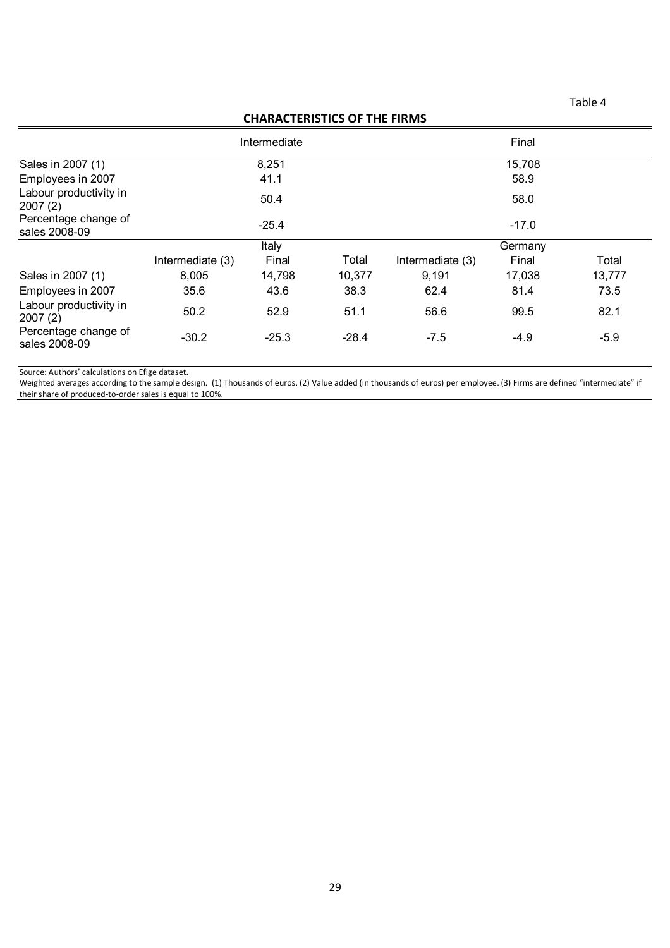# CHARACTERISTICS OF THE FIRMS

|                                       |                  | Intermediate |         |                  | Final   |        |
|---------------------------------------|------------------|--------------|---------|------------------|---------|--------|
| Sales in 2007 (1)                     | 8,251            |              |         | 15,708           |         |        |
| Employees in 2007                     |                  | 41.1         |         | 58.9             |         |        |
| Labour productivity in<br>2007(2)     |                  | 50.4         |         |                  | 58.0    |        |
| Percentage change of<br>sales 2008-09 |                  | $-25.4$      |         |                  | $-17.0$ |        |
|                                       |                  | Italy        |         | Germany          |         |        |
|                                       | Intermediate (3) | Final        | Total   | Intermediate (3) | Final   | Total  |
| Sales in 2007 (1)                     | 8,005            | 14,798       | 10,377  | 9,191            | 17,038  | 13,777 |
| Employees in 2007                     | 35.6             | 43.6         | 38.3    | 62.4             | 81.4    | 73.5   |
| Labour productivity in<br>2007(2)     | 50.2             | 52.9         | 51.1    | 56.6             | 99.5    | 82.1   |
| Percentage change of<br>sales 2008-09 | $-30.2$          | $-25.3$      | $-28.4$ | $-7.5$           | $-4.9$  | $-5.9$ |

Source: Authors' calculations on Efige dataset.

Weighted averages according to the sample design. (1) Thousands of euros. (2) Value added (in thousands of euros) per employee. (3) Firms are defined "intermediate" if their share of produced-to-order sales is equal to 100%.

## Table 4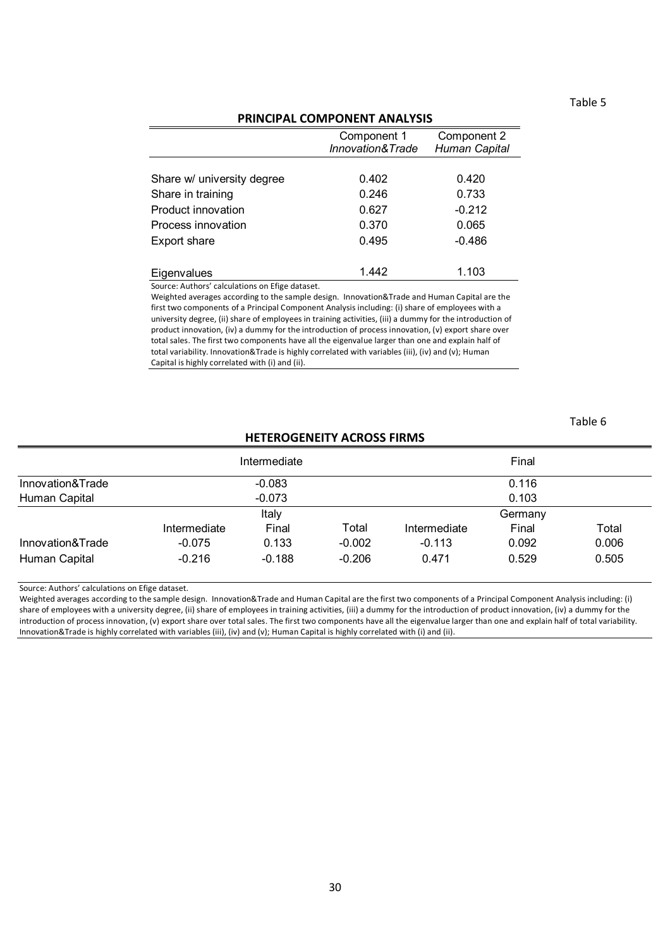# Table 5

Table 6

## PRINCIPAL COMPONENT ANALYSIS

|                            | Component 1<br><b>Innovation&amp;Trade</b> | Component 2<br><b>Human Capital</b> |  |
|----------------------------|--------------------------------------------|-------------------------------------|--|
|                            |                                            |                                     |  |
| Share w/ university degree | 0.402                                      | 0.420                               |  |
| Share in training          | 0.246                                      | 0.733                               |  |
| Product innovation         | 0.627                                      | $-0.212$                            |  |
| Process innovation         | 0.370                                      | 0.065                               |  |
| Export share               | 0.495                                      | $-0.486$                            |  |
|                            |                                            |                                     |  |
| Eigenvalues                | 1.442                                      | 1.103                               |  |

Source: Authors' calculations on Efige dataset.

Weighted averages according to the sample design. Innovation&Trade and Human Capital are the first two components of a Principal Component Analysis including: (i) share of employees with a university degree, (ii) share of employees in training activities, (iii) a dummy for the introduction of product innovation, (iv) a dummy for the introduction of process innovation, (v) export share over total sales. The first two components have all the eigenvalue larger than one and explain half of total variability. Innovation&Trade is highly correlated with variables (iii), (iv) and (v); Human Capital is highly correlated with (i) and (ii).

# HETEROGENEITY ACROSS FIRMS

|                  |              | Intermediate |          |              | Final |       |
|------------------|--------------|--------------|----------|--------------|-------|-------|
| Innovation&Trade |              | $-0.083$     |          |              | 0.116 |       |
| Human Capital    |              | $-0.073$     |          |              | 0.103 |       |
|                  |              | Italy        |          | Germany      |       |       |
|                  | Intermediate | Final        | Total    | Intermediate | Final | Total |
| Innovation&Trade | $-0.075$     | 0.133        | $-0.002$ | $-0.113$     | 0.092 | 0.006 |
| Human Capital    | $-0.216$     | $-0.188$     | $-0.206$ | 0.471        | 0.529 | 0.505 |

Source: Authors' calculations on Efige dataset.

Weighted averages according to the sample design. Innovation&Trade and Human Capital are the first two components of a Principal Component Analysis including: (i) share of employees with a university degree, (ii) share of employees in training activities, (iii) a dummy for the introduction of product innovation, (iv) a dummy for the introduction of process innovation, (v) export share over total sales. The first two components have all the eigenvalue larger than one and explain half of total variability. Innovation&Trade is highly correlated with variables (iii), (iv) and (v); Human Capital is highly correlated with (i) and (ii).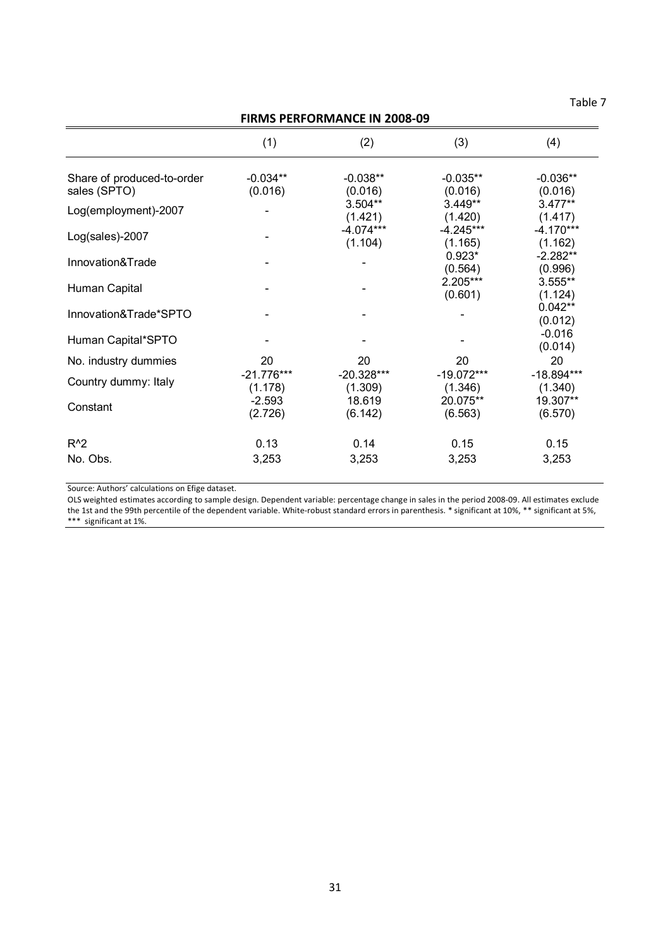Table 7

| <b>FIRMS PERFORMANCE IN 2008-09</b>        |                         |                         |                         |                         |  |  |
|--------------------------------------------|-------------------------|-------------------------|-------------------------|-------------------------|--|--|
|                                            | (1)                     | (2)                     | (3)                     | (4)                     |  |  |
| Share of produced-to-order<br>sales (SPTO) | $-0.034**$<br>(0.016)   | $-0.038**$<br>(0.016)   | $-0.035**$<br>(0.016)   | $-0.036**$<br>(0.016)   |  |  |
| Log(employment)-2007                       |                         | 3.504**<br>(1.421)      | $3.449**$<br>(1.420)    | $3.477**$<br>(1.417)    |  |  |
| Log(sales)-2007                            |                         | $-4.074***$<br>(1.104)  | $-4.245***$<br>(1.165)  | $-4.170***$<br>(1.162)  |  |  |
| Innovation&Trade                           |                         |                         | $0.923*$<br>(0.564)     | $-2.282**$<br>(0.996)   |  |  |
| Human Capital                              |                         |                         | 2.205***<br>(0.601)     | 3.555**<br>(1.124)      |  |  |
| Innovation&Trade*SPTO                      |                         |                         |                         | $0.042**$<br>(0.012)    |  |  |
| Human Capital*SPTO                         |                         |                         |                         | $-0.016$<br>(0.014)     |  |  |
| No. industry dummies                       | 20                      | 20                      | 20                      | 20                      |  |  |
| Country dummy: Italy                       | $-21.776***$<br>(1.178) | $-20.328***$<br>(1.309) | $-19.072***$<br>(1.346) | $-18.894***$<br>(1.340) |  |  |
| Constant                                   | $-2.593$<br>(2.726)     | 18.619<br>(6.142)       | 20.075**<br>(6.563)     | 19.307**<br>(6.570)     |  |  |
| $R^2$                                      | 0.13                    | 0.14                    | 0.15                    | 0.15                    |  |  |
| No. Obs.                                   | 3,253                   | 3,253                   | 3,253                   | 3,253                   |  |  |

Source: Authors' calculations on Efige dataset.

OLS weighted estimates according to sample design. Dependent variable: percentage change in sales in the period 2008-09. All estimates exclude the 1st and the 99th percentile of the dependent variable. White-robust standard errors in parenthesis. \* significant at 10%, \*\* significant at 5%, \*\*\* significant at 1%.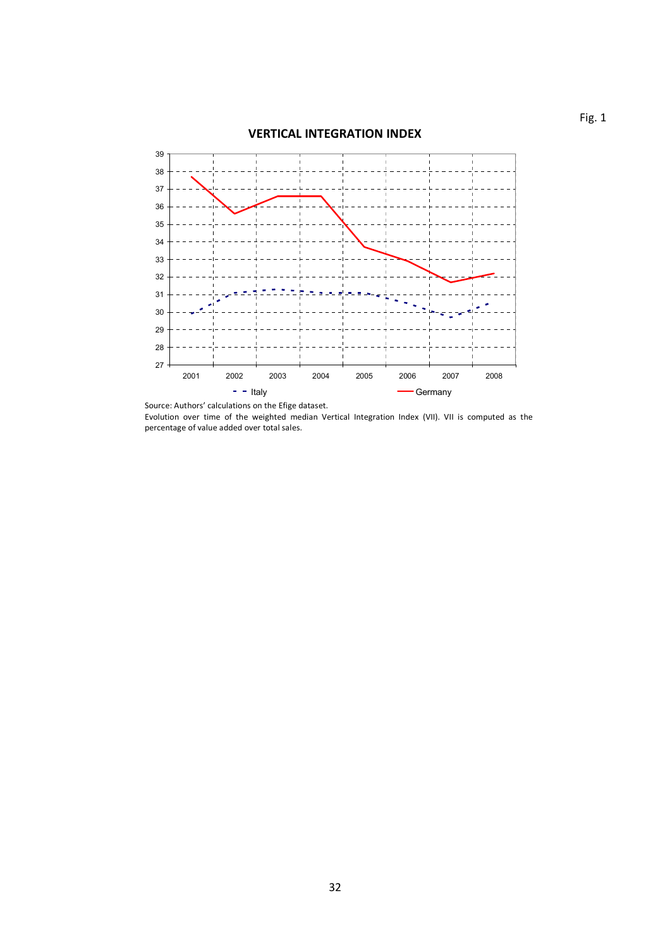

Source: Authors' calculations on the Efige dataset. Evolution over time of the weighted median Vertical Integration Index (VII). VII is computed as the percentage of value added over total sales.